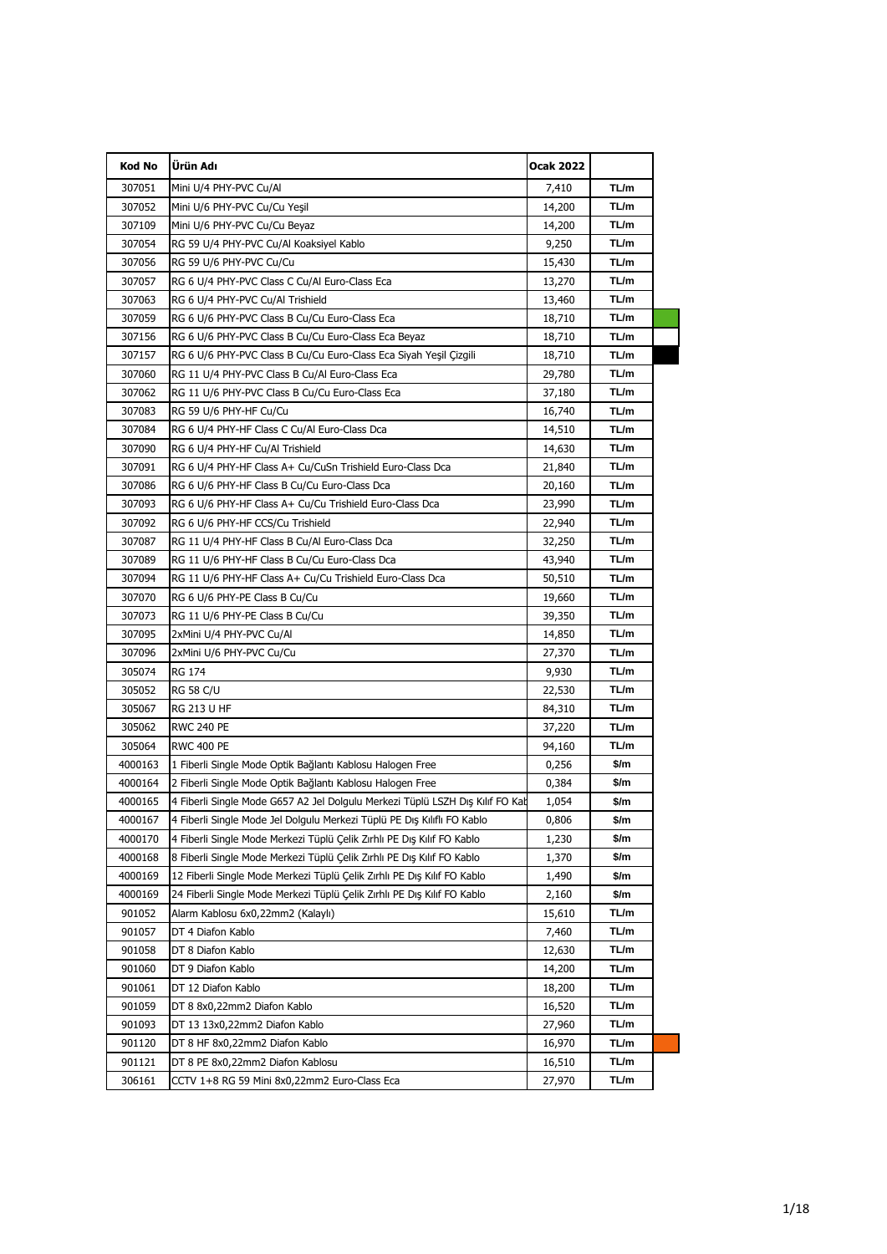| <b>Kod No</b> | Ürün Adı                                                                      | Ocak 2022 |      |  |
|---------------|-------------------------------------------------------------------------------|-----------|------|--|
| 307051        | Mini U/4 PHY-PVC Cu/Al                                                        | 7,410     | TL/m |  |
| 307052        | Mini U/6 PHY-PVC Cu/Cu Yeşil                                                  | 14,200    | TL/m |  |
| 307109        | Mini U/6 PHY-PVC Cu/Cu Beyaz                                                  | 14,200    | TL/m |  |
| 307054        | RG 59 U/4 PHY-PVC Cu/Al Koaksiyel Kablo                                       | 9,250     | TL/m |  |
| 307056        | RG 59 U/6 PHY-PVC Cu/Cu                                                       | 15,430    | TL/m |  |
| 307057        | RG 6 U/4 PHY-PVC Class C Cu/Al Euro-Class Eca                                 | 13,270    | TL/m |  |
| 307063        | RG 6 U/4 PHY-PVC Cu/Al Trishield                                              | 13,460    | TL/m |  |
| 307059        | RG 6 U/6 PHY-PVC Class B Cu/Cu Euro-Class Eca                                 | 18,710    | TL/m |  |
| 307156        | RG 6 U/6 PHY-PVC Class B Cu/Cu Euro-Class Eca Beyaz                           | 18,710    | TL/m |  |
| 307157        | RG 6 U/6 PHY-PVC Class B Cu/Cu Euro-Class Eca Siyah Yeşil Çizgili             | 18,710    | TL/m |  |
| 307060        | RG 11 U/4 PHY-PVC Class B Cu/Al Euro-Class Eca                                | 29,780    | TL/m |  |
| 307062        | RG 11 U/6 PHY-PVC Class B Cu/Cu Euro-Class Eca                                | 37,180    | TL/m |  |
| 307083        | RG 59 U/6 PHY-HF Cu/Cu                                                        | 16,740    | TL/m |  |
| 307084        | RG 6 U/4 PHY-HF Class C Cu/Al Euro-Class Dca                                  | 14,510    | TL/m |  |
| 307090        | RG 6 U/4 PHY-HF Cu/Al Trishield                                               | 14,630    | TL/m |  |
| 307091        | RG 6 U/4 PHY-HF Class A+ Cu/CuSn Trishield Euro-Class Dca                     | 21,840    | TL/m |  |
| 307086        | RG 6 U/6 PHY-HF Class B Cu/Cu Euro-Class Dca                                  | 20,160    | TL/m |  |
| 307093        | RG 6 U/6 PHY-HF Class A+ Cu/Cu Trishield Euro-Class Dca                       | 23,990    | TL/m |  |
| 307092        | RG 6 U/6 PHY-HF CCS/Cu Trishield                                              | 22,940    | TL/m |  |
| 307087        | RG 11 U/4 PHY-HF Class B Cu/Al Euro-Class Dca                                 | 32,250    | TL/m |  |
| 307089        | RG 11 U/6 PHY-HF Class B Cu/Cu Euro-Class Dca                                 | 43,940    | TL/m |  |
| 307094        | RG 11 U/6 PHY-HF Class A+ Cu/Cu Trishield Euro-Class Dca                      | 50,510    | TL/m |  |
| 307070        | RG 6 U/6 PHY-PE Class B Cu/Cu                                                 | 19,660    | TL/m |  |
| 307073        | RG 11 U/6 PHY-PE Class B Cu/Cu                                                | 39,350    | TL/m |  |
| 307095        | 2xMini U/4 PHY-PVC Cu/Al                                                      | 14,850    | TL/m |  |
| 307096        | 2xMini U/6 PHY-PVC Cu/Cu                                                      | 27,370    | TL/m |  |
| 305074        | <b>RG 174</b>                                                                 | 9,930     | TL/m |  |
| 305052        | <b>RG 58 C/U</b>                                                              | 22,530    | TL/m |  |
| 305067        | <b>RG 213 U HF</b>                                                            | 84,310    | TL/m |  |
| 305062        | <b>RWC 240 PE</b>                                                             | 37,220    | TL/m |  |
| 305064        | <b>RWC 400 PE</b>                                                             | 94,160    | TL/m |  |
| 4000163       | 1 Fiberli Single Mode Optik Bağlantı Kablosu Halogen Free                     | 0,256     | \$/m |  |
| 4000164       | 2 Fiberli Single Mode Optik Bağlantı Kablosu Halogen Free                     | 0,384     | \$/m |  |
| 4000165       | 4 Fiberli Single Mode G657 A2 Jel Dolgulu Merkezi Tüplü LSZH Dış Kılıf FO Kal | 1,054     | \$/m |  |
| 4000167       | 4 Fiberli Single Mode Jel Dolgulu Merkezi Tüplü PE Dış Kılıflı FO Kablo       | 0,806     | \$/m |  |
| 4000170       | 4 Fiberli Single Mode Merkezi Tüplü Çelik Zırhlı PE Dış Kılıf FO Kablo        | 1,230     | \$/m |  |
| 4000168       | 8 Fiberli Single Mode Merkezi Tüplü Çelik Zırhlı PE Dış Kılıf FO Kablo        | 1,370     | \$/m |  |
| 4000169       | 12 Fiberli Single Mode Merkezi Tüplü Çelik Zırhlı PE Dış Kılıf FO Kablo       | 1,490     | \$/m |  |
| 4000169       | 24 Fiberli Single Mode Merkezi Tüplü Çelik Zırhlı PE Dış Kılıf FO Kablo       | 2,160     | \$/m |  |
| 901052        | Alarm Kablosu 6x0,22mm2 (Kalaylı)                                             | 15,610    | TL/m |  |
| 901057        | DT 4 Diafon Kablo                                                             | 7,460     | TL/m |  |
| 901058        | DT 8 Diafon Kablo                                                             | 12,630    | TL/m |  |
| 901060        | DT 9 Diafon Kablo                                                             | 14,200    | TL/m |  |
| 901061        | DT 12 Diafon Kablo                                                            | 18,200    | TL/m |  |
| 901059        | DT 8 8x0,22mm2 Diafon Kablo                                                   | 16,520    | TL/m |  |
| 901093        | DT 13 13x0,22mm2 Diafon Kablo                                                 | 27,960    | TL/m |  |
| 901120        | DT 8 HF 8x0,22mm2 Diafon Kablo                                                | 16,970    | TL/m |  |
| 901121        | DT 8 PE 8x0,22mm2 Diafon Kablosu                                              | 16,510    | TL/m |  |
| 306161        | CCTV 1+8 RG 59 Mini 8x0,22mm2 Euro-Class Eca                                  | 27,970    | TL/m |  |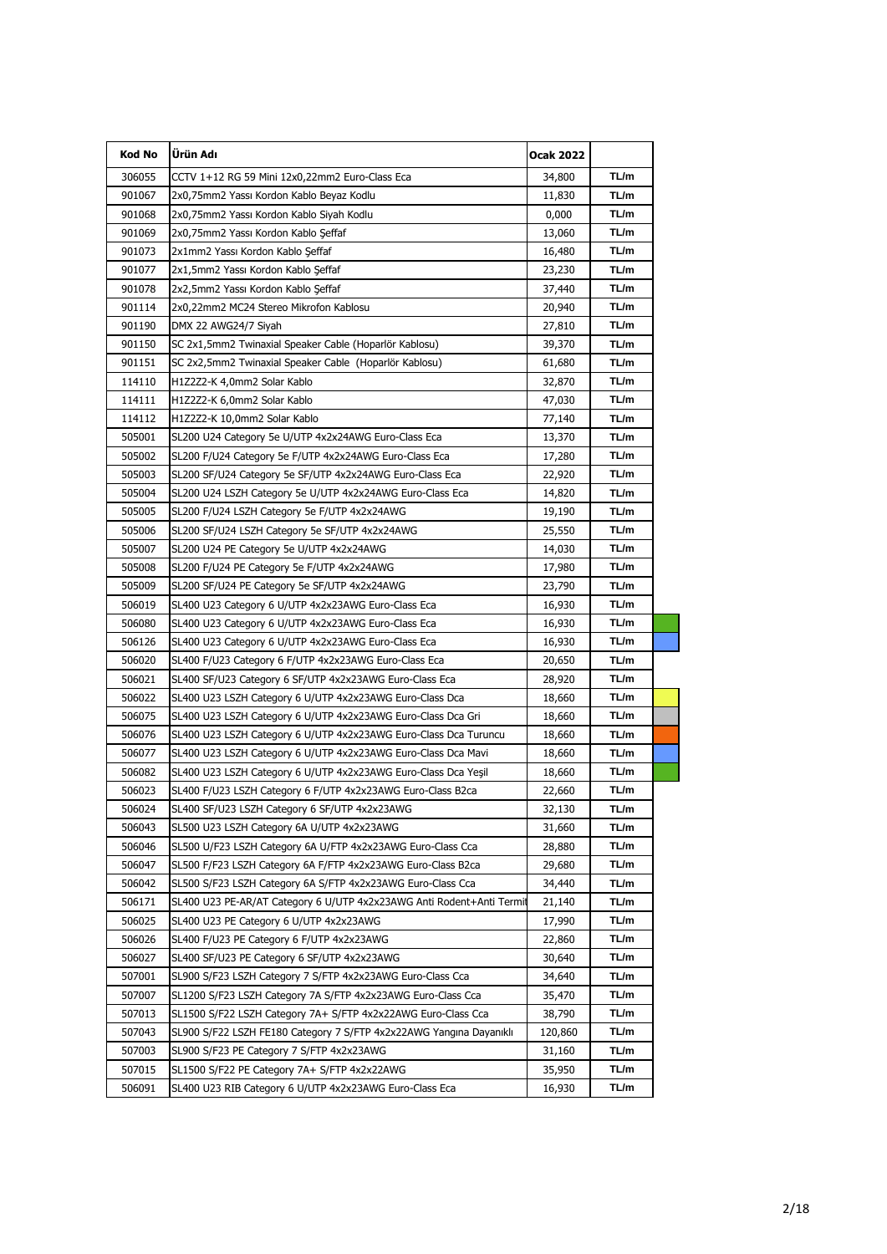| Kod No | Ürün Adı                                                              | Ocak 2022 |      |  |
|--------|-----------------------------------------------------------------------|-----------|------|--|
| 306055 | CCTV 1+12 RG 59 Mini 12x0,22mm2 Euro-Class Eca                        | 34,800    | TL/m |  |
| 901067 | 2x0,75mm2 Yassı Kordon Kablo Beyaz Kodlu                              | 11,830    | TL/m |  |
| 901068 | 2x0,75mm2 Yassı Kordon Kablo Siyah Kodlu                              | 0,000     | TL/m |  |
| 901069 | 2x0,75mm2 Yassı Kordon Kablo Şeffaf                                   | 13,060    | TL/m |  |
| 901073 | 2x1mm2 Yassı Kordon Kablo Şeffaf                                      | 16,480    | TL/m |  |
| 901077 | 2x1,5mm2 Yassı Kordon Kablo Şeffaf                                    | 23,230    | TL/m |  |
| 901078 | 2x2,5mm2 Yassı Kordon Kablo Şeffaf                                    | 37,440    | TL/m |  |
| 901114 | 2x0,22mm2 MC24 Stereo Mikrofon Kablosu                                | 20,940    | TL/m |  |
| 901190 | DMX 22 AWG24/7 Siyah                                                  | 27,810    | TL/m |  |
| 901150 | SC 2x1,5mm2 Twinaxial Speaker Cable (Hoparlör Kablosu)                | 39,370    | TL/m |  |
| 901151 | SC 2x2,5mm2 Twinaxial Speaker Cable (Hoparlör Kablosu)                | 61,680    | TL/m |  |
| 114110 | H1Z2Z2-K 4,0mm2 Solar Kablo                                           | 32,870    | TL/m |  |
| 114111 | H1Z2Z2-K 6,0mm2 Solar Kablo                                           | 47,030    | TL/m |  |
| 114112 | H1Z2Z2-K 10,0mm2 Solar Kablo                                          | 77,140    | TL/m |  |
| 505001 | SL200 U24 Category 5e U/UTP 4x2x24AWG Euro-Class Eca                  | 13,370    | TL/m |  |
| 505002 | SL200 F/U24 Category 5e F/UTP 4x2x24AWG Euro-Class Eca                | 17,280    | TL/m |  |
| 505003 | SL200 SF/U24 Category 5e SF/UTP 4x2x24AWG Euro-Class Eca              | 22,920    | TL/m |  |
| 505004 | SL200 U24 LSZH Category 5e U/UTP 4x2x24AWG Euro-Class Eca             | 14,820    | TL/m |  |
| 505005 | SL200 F/U24 LSZH Category 5e F/UTP 4x2x24AWG                          | 19,190    | TL/m |  |
| 505006 | SL200 SF/U24 LSZH Category 5e SF/UTP 4x2x24AWG                        | 25,550    | TL/m |  |
| 505007 | SL200 U24 PE Category 5e U/UTP 4x2x24AWG                              | 14,030    | TL/m |  |
| 505008 | SL200 F/U24 PE Category 5e F/UTP 4x2x24AWG                            | 17,980    | TL/m |  |
| 505009 | SL200 SF/U24 PE Category 5e SF/UTP 4x2x24AWG                          | 23,790    | TL/m |  |
| 506019 | SL400 U23 Category 6 U/UTP 4x2x23AWG Euro-Class Eca                   | 16,930    | TL/m |  |
| 506080 | SL400 U23 Category 6 U/UTP 4x2x23AWG Euro-Class Eca                   | 16,930    | TL/m |  |
| 506126 | SL400 U23 Category 6 U/UTP 4x2x23AWG Euro-Class Eca                   | 16,930    | TL/m |  |
| 506020 | SL400 F/U23 Category 6 F/UTP 4x2x23AWG Euro-Class Eca                 | 20,650    | TL/m |  |
| 506021 | SL400 SF/U23 Category 6 SF/UTP 4x2x23AWG Euro-Class Eca               | 28,920    | TL/m |  |
| 506022 | SL400 U23 LSZH Category 6 U/UTP 4x2x23AWG Euro-Class Dca              | 18,660    | TL/m |  |
| 506075 | SL400 U23 LSZH Category 6 U/UTP 4x2x23AWG Euro-Class Dca Gri          | 18,660    | TL/m |  |
| 506076 | SL400 U23 LSZH Category 6 U/UTP 4x2x23AWG Euro-Class Dca Turuncu      | 18,660    | TL/m |  |
| 506077 | SL400 U23 LSZH Category 6 U/UTP 4x2x23AWG Euro-Class Dca Mavi         | 18,660    | TL/m |  |
| 506082 | SL400 U23 LSZH Category 6 U/UTP 4x2x23AWG Euro-Class Dca Yeşil        | 18,660    | TL/m |  |
| 506023 | SL400 F/U23 LSZH Category 6 F/UTP 4x2x23AWG Euro-Class B2ca           | 22,660    | TL/m |  |
| 506024 | SL400 SF/U23 LSZH Category 6 SF/UTP 4x2x23AWG                         | 32,130    | TL/m |  |
| 506043 | SL500 U23 LSZH Category 6A U/UTP 4x2x23AWG                            | 31,660    | TL/m |  |
| 506046 | SL500 U/F23 LSZH Category 6A U/FTP 4x2x23AWG Euro-Class Cca           | 28,880    | TL/m |  |
| 506047 | SL500 F/F23 LSZH Category 6A F/FTP 4x2x23AWG Euro-Class B2ca          | 29,680    | TL/m |  |
| 506042 | SL500 S/F23 LSZH Category 6A S/FTP 4x2x23AWG Euro-Class Cca           | 34,440    | TL/m |  |
| 506171 | SL400 U23 PE-AR/AT Category 6 U/UTP 4x2x23AWG Anti Rodent+Anti Termit | 21,140    | TL/m |  |
| 506025 | SL400 U23 PE Category 6 U/UTP 4x2x23AWG                               | 17,990    | TL/m |  |
| 506026 | SL400 F/U23 PE Category 6 F/UTP 4x2x23AWG                             | 22,860    | TL/m |  |
| 506027 | SL400 SF/U23 PE Category 6 SF/UTP 4x2x23AWG                           | 30,640    | TL/m |  |
| 507001 | SL900 S/F23 LSZH Category 7 S/FTP 4x2x23AWG Euro-Class Cca            | 34,640    | TL/m |  |
| 507007 | SL1200 S/F23 LSZH Category 7A S/FTP 4x2x23AWG Euro-Class Cca          | 35,470    | TL/m |  |
| 507013 | SL1500 S/F22 LSZH Category 7A+ S/FTP 4x2x22AWG Euro-Class Cca         | 38,790    | TL/m |  |
| 507043 | SL900 S/F22 LSZH FE180 Category 7 S/FTP 4x2x22AWG Yangina Dayanikli   | 120,860   | TL/m |  |
| 507003 | SL900 S/F23 PE Category 7 S/FTP 4x2x23AWG                             | 31,160    | TL/m |  |
| 507015 | SL1500 S/F22 PE Category 7A+ S/FTP 4x2x22AWG                          | 35,950    | TL/m |  |
| 506091 | SL400 U23 RIB Category 6 U/UTP 4x2x23AWG Euro-Class Eca               | 16,930    | TL/m |  |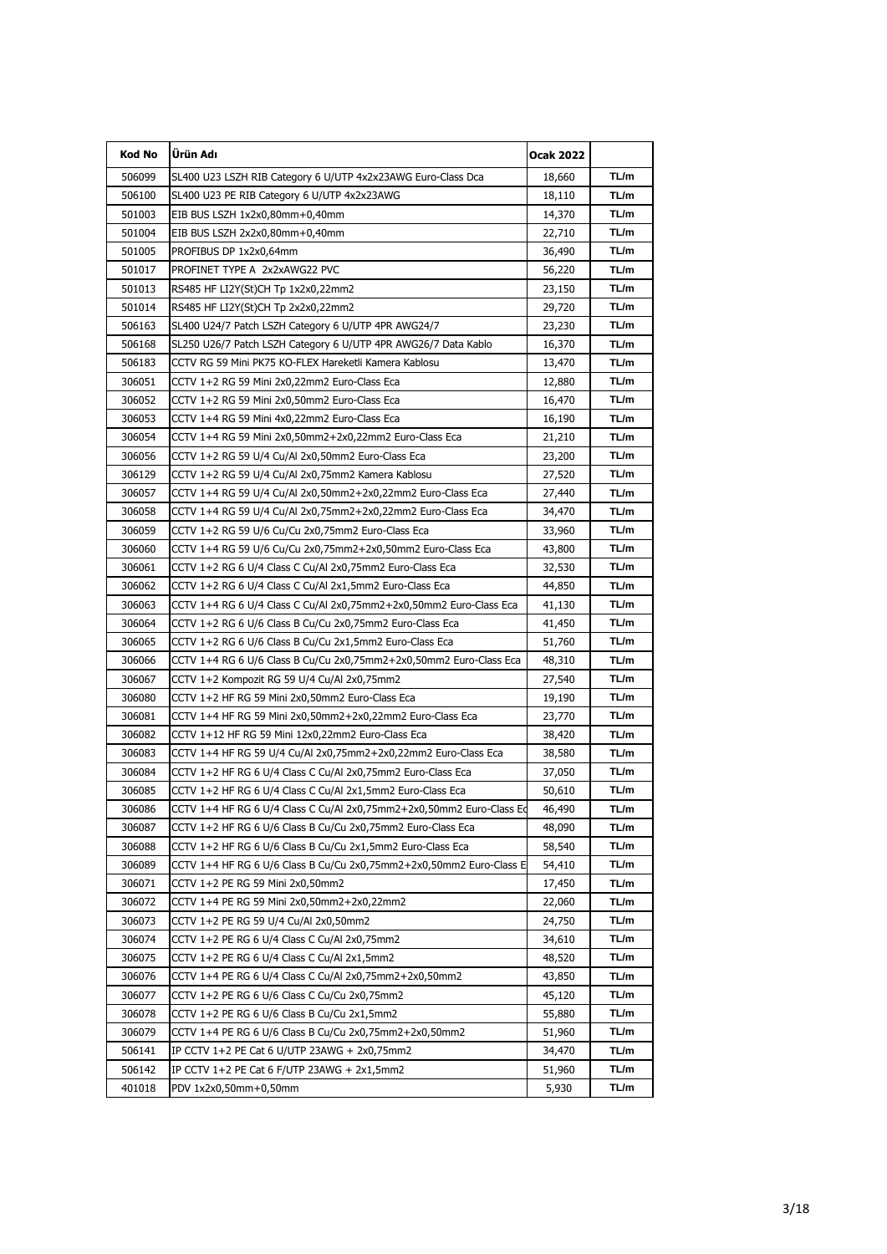| <b>Kod No</b> | Ürün Adı                                                             | Ocak 2022 |      |
|---------------|----------------------------------------------------------------------|-----------|------|
| 506099        | SL400 U23 LSZH RIB Category 6 U/UTP 4x2x23AWG Euro-Class Dca         | 18,660    | TL/m |
| 506100        | SL400 U23 PE RIB Category 6 U/UTP 4x2x23AWG                          | 18,110    | TL/m |
| 501003        | EIB BUS LSZH 1x2x0,80mm+0,40mm                                       | 14,370    | TL/m |
| 501004        | EIB BUS LSZH 2x2x0,80mm+0,40mm                                       | 22,710    | TL/m |
| 501005        | PROFIBUS DP 1x2x0,64mm                                               | 36,490    | TL/m |
| 501017        | PROFINET TYPE A 2x2xAWG22 PVC                                        | 56,220    | TL/m |
| 501013        | RS485 HF LI2Y(St)CH Tp 1x2x0,22mm2                                   | 23,150    | TL/m |
| 501014        | RS485 HF LI2Y(St)CH Tp 2x2x0,22mm2                                   | 29,720    | TL/m |
| 506163        | SL400 U24/7 Patch LSZH Category 6 U/UTP 4PR AWG24/7                  | 23,230    | TL/m |
| 506168        | SL250 U26/7 Patch LSZH Category 6 U/UTP 4PR AWG26/7 Data Kablo       | 16,370    | TL/m |
| 506183        | CCTV RG 59 Mini PK75 KO-FLEX Hareketli Kamera Kablosu                | 13,470    | TL/m |
| 306051        | CCTV 1+2 RG 59 Mini 2x0,22mm2 Euro-Class Eca                         | 12,880    | TL/m |
| 306052        | CCTV 1+2 RG 59 Mini 2x0,50mm2 Euro-Class Eca                         | 16,470    | TL/m |
| 306053        | CCTV 1+4 RG 59 Mini 4x0,22mm2 Euro-Class Eca                         | 16,190    | TL/m |
| 306054        | CCTV 1+4 RG 59 Mini 2x0,50mm2+2x0,22mm2 Euro-Class Eca               | 21,210    | TL/m |
| 306056        | CCTV 1+2 RG 59 U/4 Cu/Al 2x0,50mm2 Euro-Class Eca                    | 23,200    | TL/m |
| 306129        | CCTV 1+2 RG 59 U/4 Cu/Al 2x0,75mm2 Kamera Kablosu                    | 27,520    | TL/m |
| 306057        | CCTV 1+4 RG 59 U/4 Cu/Al 2x0,50mm2+2x0,22mm2 Euro-Class Eca          | 27,440    | TL/m |
| 306058        | CCTV 1+4 RG 59 U/4 Cu/Al 2x0,75mm2+2x0,22mm2 Euro-Class Eca          | 34,470    | TL/m |
| 306059        | CCTV 1+2 RG 59 U/6 Cu/Cu 2x0,75mm2 Euro-Class Eca                    | 33,960    | TL/m |
| 306060        | CCTV 1+4 RG 59 U/6 Cu/Cu 2x0,75mm2+2x0,50mm2 Euro-Class Eca          | 43,800    | TL/m |
| 306061        | CCTV 1+2 RG 6 U/4 Class C Cu/Al 2x0,75mm2 Euro-Class Eca             | 32,530    | TL/m |
| 306062        | CCTV 1+2 RG 6 U/4 Class C Cu/Al 2x1,5mm2 Euro-Class Eca              | 44,850    | TL/m |
| 306063        | CCTV 1+4 RG 6 U/4 Class C Cu/Al 2x0,75mm2+2x0,50mm2 Euro-Class Eca   | 41,130    | TL/m |
| 306064        | CCTV 1+2 RG 6 U/6 Class B Cu/Cu 2x0,75mm2 Euro-Class Eca             | 41,450    | TL/m |
| 306065        | CCTV 1+2 RG 6 U/6 Class B Cu/Cu 2x1,5mm2 Euro-Class Eca              | 51,760    | TL/m |
| 306066        |                                                                      | 48,310    | TL/m |
| 306067        | CCTV 1+2 Kompozit RG 59 U/4 Cu/Al 2x0,75mm2                          | 27,540    | TL/m |
| 306080        | CCTV 1+2 HF RG 59 Mini 2x0,50mm2 Euro-Class Eca                      | 19,190    | TL/m |
| 306081        | CCTV 1+4 HF RG 59 Mini 2x0,50mm2+2x0,22mm2 Euro-Class Eca            | 23,770    | TL/m |
| 306082        | CCTV 1+12 HF RG 59 Mini 12x0,22mm2 Euro-Class Eca                    | 38,420    | TL/m |
| 306083        | CCTV 1+4 HF RG 59 U/4 Cu/Al 2x0,75mm2+2x0,22mm2 Euro-Class Eca       | 38,580    | TL/m |
| 306084        | CCTV 1+2 HF RG 6 U/4 Class C Cu/Al 2x0,75mm2 Euro-Class Eca          | 37,050    | TL/m |
| 306085        | CCTV 1+2 HF RG 6 U/4 Class C Cu/Al 2x1,5mm2 Euro-Class Eca           | 50,610    | TL/m |
| 306086        | CCTV 1+4 HF RG 6 U/4 Class C Cu/Al 2x0,75mm2+2x0,50mm2 Euro-Class Eq | 46,490    | TL/m |
| 306087        | CCTV 1+2 HF RG 6 U/6 Class B Cu/Cu 2x0,75mm2 Euro-Class Eca          | 48,090    | TL/m |
| 306088        | CCTV 1+2 HF RG 6 U/6 Class B Cu/Cu 2x1,5mm2 Euro-Class Eca           | 58,540    | TL/m |
| 306089        |                                                                      | 54,410    | TL/m |
| 306071        | CCTV 1+2 PE RG 59 Mini 2x0,50mm2                                     | 17,450    | TL/m |
| 306072        | CCTV 1+4 PE RG 59 Mini 2x0,50mm2+2x0,22mm2                           | 22,060    | TL/m |
| 306073        | CCTV 1+2 PE RG 59 U/4 Cu/Al 2x0,50mm2                                | 24,750    | TL/m |
| 306074        | CCTV 1+2 PE RG 6 U/4 Class C Cu/Al 2x0,75mm2                         | 34,610    | TL/m |
| 306075        | CCTV 1+2 PE RG 6 U/4 Class C Cu/Al 2x1,5mm2                          | 48,520    | TL/m |
| 306076        | CCTV 1+4 PE RG 6 U/4 Class C Cu/Al 2x0,75mm2+2x0,50mm2               | 43,850    | TL/m |
| 306077        | CCTV 1+2 PE RG 6 U/6 Class C Cu/Cu 2x0,75mm2                         | 45,120    | TL/m |
| 306078        | CCTV 1+2 PE RG 6 U/6 Class B Cu/Cu 2x1,5mm2                          | 55,880    | TL/m |
| 306079        | CCTV 1+4 PE RG 6 U/6 Class B Cu/Cu 2x0,75mm2+2x0,50mm2               | 51,960    | TL/m |
| 506141        | IP CCTV 1+2 PE Cat 6 U/UTP 23AWG + 2x0,75mm2                         | 34,470    | TL/m |
| 506142        | IP CCTV 1+2 PE Cat 6 F/UTP 23AWG + 2x1,5mm2                          | 51,960    | TL/m |
| 401018        | PDV 1x2x0,50mm+0,50mm                                                | 5,930     | TL/m |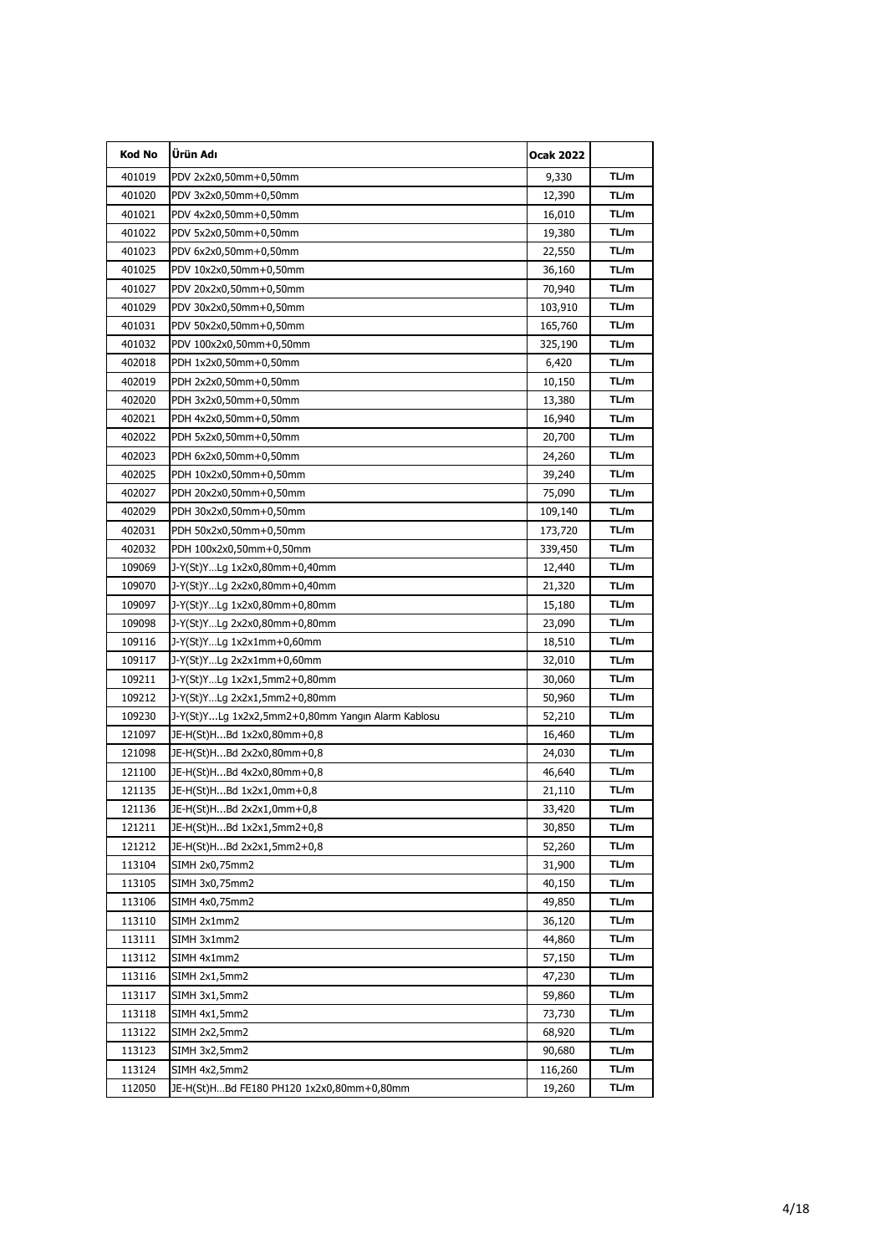| Kod No | Ürün Adı                                          | <b>Ocak 2022</b> |       |
|--------|---------------------------------------------------|------------------|-------|
| 401019 | PDV 2x2x0,50mm+0,50mm                             | 9,330            | TL/m  |
| 401020 | PDV 3x2x0,50mm+0,50mm                             | 12,390           | TL/m  |
| 401021 | PDV 4x2x0,50mm+0,50mm                             | 16,010           | TL/m  |
| 401022 | PDV 5x2x0,50mm+0,50mm                             | 19,380           | TL/m  |
| 401023 | PDV 6x2x0,50mm+0,50mm                             | 22,550           | TL/m  |
| 401025 | PDV 10x2x0,50mm+0,50mm                            | 36,160           | TL/m  |
| 401027 | PDV 20x2x0,50mm+0,50mm                            | 70,940           | TL/m  |
| 401029 | PDV 30x2x0,50mm+0,50mm                            | 103,910          | TL/m  |
| 401031 | PDV 50x2x0,50mm+0,50mm                            | 165,760          | TL/m  |
| 401032 | PDV 100x2x0,50mm+0,50mm                           | 325,190          | TL/m  |
| 402018 | PDH 1x2x0,50mm+0,50mm                             | 6,420            | TL/m  |
| 402019 | PDH 2x2x0,50mm+0,50mm                             | 10,150           | TL/m  |
| 402020 | PDH 3x2x0,50mm+0,50mm                             | 13,380           | TL/m  |
| 402021 | PDH 4x2x0,50mm+0,50mm                             | 16,940           | TL/m  |
| 402022 | PDH 5x2x0,50mm+0,50mm                             | 20,700           | TL/m  |
| 402023 | PDH 6x2x0,50mm+0,50mm                             | 24,260           | TL/m  |
| 402025 | PDH 10x2x0,50mm+0,50mm                            | 39,240           | TL/m  |
| 402027 | PDH 20x2x0,50mm+0,50mm                            | 75,090           | TL/m  |
| 402029 | PDH 30x2x0,50mm+0,50mm                            | 109,140          | TL/m  |
| 402031 | PDH 50x2x0,50mm+0,50mm                            | 173,720          | TL/m  |
| 402032 | PDH 100x2x0,50mm+0,50mm                           | 339,450          | TL/m  |
| 109069 | J-Y(St)YLg 1x2x0,80mm+0,40mm                      | 12,440           | TL/m  |
| 109070 | J-Y(St)YLg 2x2x0,80mm+0,40mm                      | 21,320           | TL/m  |
| 109097 | J-Y(St)YLg 1x2x0,80mm+0,80mm                      | 15,180           | TL/m  |
| 109098 | J-Y(St)YLg 2x2x0,80mm+0,80mm                      | 23,090           | TL/m  |
| 109116 | $J-Y(St)YLg 1x2x1mm+0,60mm$                       | 18,510           | TL/m  |
| 109117 | J-Y(St)YLg 2x2x1mm+0,60mm                         | 32,010           | TL/m  |
| 109211 | J-Y(St)YLg 1x2x1,5mm2+0,80mm                      | 30,060           | TL/m  |
| 109212 | J-Y(St)YLg 2x2x1,5mm2+0,80mm                      | 50,960           | TL/m  |
| 109230 | J-Y(St)YLg 1x2x2,5mm2+0,80mm Yangın Alarm Kablosu | 52,210           | TL/m  |
| 121097 | JE-H(St)HBd 1x2x0,80mm+0,8                        | 16,460           | TL/m  |
| 121098 | JE-H(St)HBd 2x2x0,80mm+0,8                        | 24,030           | TL/m  |
| 121100 | JE-H(St)HBd 4x2x0,80mm+0,8                        | 46,640           | TL/m  |
| 121135 | JE-H(St)HBd 1x2x1,0mm+0,8                         | 21,110           | TL/m  |
| 121136 | JE-H(St)H…Bd 2x2x1,0mm+0,8                        | 33,420           | I L/m |
| 121211 | JE-H(St)HBd 1x2x1,5mm2+0,8                        | 30,850           | TL/m  |
| 121212 | JE-H(St)HBd 2x2x1,5mm2+0,8                        | 52,260           | TL/m  |
| 113104 | SIMH 2x0,75mm2                                    | 31,900           | TL/m  |
| 113105 | SIMH 3x0,75mm2                                    | 40,150           | TL/m  |
| 113106 | SIMH 4x0,75mm2                                    | 49,850           | TL/m  |
| 113110 | SIMH 2x1mm2                                       | 36,120           | TL/m  |
| 113111 | SIMH 3x1mm2                                       | 44,860           | TL/m  |
| 113112 | SIMH 4x1mm2                                       | 57,150           | TL/m  |
| 113116 | SIMH 2x1,5mm2                                     | 47,230           | TL/m  |
| 113117 | SIMH 3x1,5mm2                                     | 59,860           | TL/m  |
| 113118 | SIMH 4x1,5mm2                                     | 73,730           | TL/m  |
| 113122 | SIMH 2x2,5mm2                                     | 68,920           | TL/m  |
| 113123 | SIMH 3x2,5mm2                                     | 90,680           | TL/m  |
| 113124 | SIMH 4x2,5mm2                                     | 116,260          | TL/m  |
| 112050 | JE-H(St)HBd FE180 PH120 1x2x0,80mm+0,80mm         | 19,260           | TL/m  |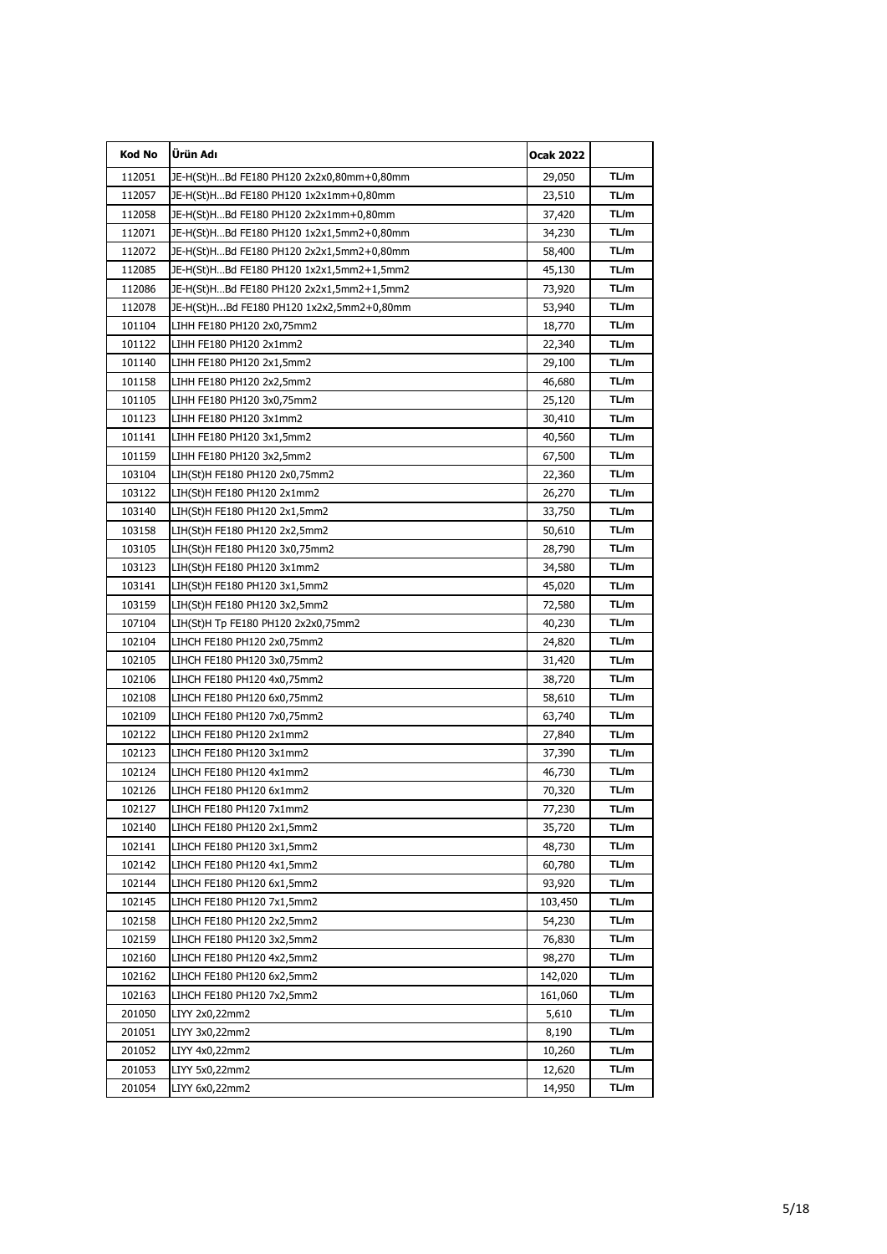| Kod No | Ürün Adı                                  | <b>Ocak 2022</b> |       |
|--------|-------------------------------------------|------------------|-------|
| 112051 | JE-H(St)HBd FE180 PH120 2x2x0,80mm+0,80mm | 29,050           | TL/m  |
| 112057 | JE-H(St)HBd FE180 PH120 1x2x1mm+0,80mm    | 23,510           | TL/m  |
| 112058 | JE-H(St)HBd FE180 PH120 2x2x1mm+0,80mm    | 37,420           | TL/m  |
| 112071 | JE-H(St)HBd FE180 PH120 1x2x1,5mm2+0,80mm | 34,230           | TL/m  |
| 112072 | JE-H(St)HBd FE180 PH120 2x2x1,5mm2+0,80mm | 58,400           | TL/m  |
| 112085 | JE-H(St)HBd FE180 PH120 1x2x1,5mm2+1,5mm2 | 45,130           | TL/m  |
| 112086 | JE-H(St)HBd FE180 PH120 2x2x1,5mm2+1,5mm2 | 73,920           | TL/m  |
| 112078 | JE-H(St)HBd FE180 PH120 1x2x2,5mm2+0,80mm | 53,940           | TL/m  |
| 101104 | LIHH FE180 PH120 2x0,75mm2                | 18,770           | TL/m  |
| 101122 | LIHH FE180 PH120 2x1mm2                   | 22,340           | TL/m  |
| 101140 | LIHH FE180 PH120 2x1,5mm2                 | 29,100           | TL/m  |
| 101158 | LIHH FE180 PH120 2x2,5mm2                 | 46,680           | TL/m  |
| 101105 | LIHH FE180 PH120 3x0,75mm2                | 25,120           | TL/m  |
| 101123 | LIHH FE180 PH120 3x1mm2                   | 30,410           | TL/m  |
| 101141 | LIHH FE180 PH120 3x1,5mm2                 | 40,560           | TL/m  |
| 101159 | LIHH FE180 PH120 3x2,5mm2                 | 67,500           | TL/m  |
| 103104 | LIH(St)H FE180 PH120 2x0,75mm2            | 22,360           | TL/m  |
| 103122 | LIH(St)H FE180 PH120 2x1mm2               | 26,270           | TL/m  |
| 103140 | LIH(St)H FE180 PH120 2x1,5mm2             | 33,750           | TL/m  |
| 103158 | LIH(St)H FE180 PH120 2x2,5mm2             | 50,610           | TL/m  |
| 103105 | LIH(St)H FE180 PH120 3x0,75mm2            | 28,790           | TL/m  |
| 103123 | LIH(St)H FE180 PH120 3x1mm2               | 34,580           | TL/m  |
| 103141 | LIH(St)H FE180 PH120 3x1,5mm2             | 45,020           | TL/m  |
| 103159 | LIH(St)H FE180 PH120 3x2,5mm2             | 72,580           | TL/m  |
| 107104 | LIH(St)H Tp FE180 PH120 2x2x0,75mm2       | 40,230           | TL/m  |
| 102104 | LIHCH FE180 PH120 2x0,75mm2               | 24,820           | TL/m  |
| 102105 | LIHCH FE180 PH120 3x0,75mm2               | 31,420           | TL/m  |
| 102106 | LIHCH FE180 PH120 4x0,75mm2               | 38,720           | TL/m  |
| 102108 | LIHCH FE180 PH120 6x0,75mm2               | 58,610           | TL/m  |
| 102109 | LIHCH FE180 PH120 7x0,75mm2               | 63,740           | TL/m  |
| 102122 | LIHCH FE180 PH120 2x1mm2                  | 27,840           | TL/m  |
| 102123 | LIHCH FE180 PH120 3x1mm2                  | 37,390           | TL/m  |
| 102124 | LIHCH FE180 PH120 4x1mm2                  | 46,730           | TL/m  |
| 102126 | LIHCH FE180 PH120 6x1mm2                  | 70,320           | TL/m  |
| 10212/ | LIHCH FE180 PH120 7x1mm2                  | 77,230           | I L/m |
| 102140 | LIHCH FE180 PH120 2x1,5mm2                | 35,720           | TL/m  |
| 102141 | LIHCH FE180 PH120 3x1,5mm2                | 48,730           | TL/m  |
| 102142 | LIHCH FE180 PH120 4x1,5mm2                | 60,780           | TL/m  |
| 102144 | LIHCH FE180 PH120 6x1,5mm2                | 93,920           | TL/m  |
| 102145 | LIHCH FE180 PH120 7x1,5mm2                | 103,450          | TL/m  |
| 102158 | LIHCH FE180 PH120 2x2,5mm2                | 54,230           | TL/m  |
| 102159 | LIHCH FE180 PH120 3x2,5mm2                | 76,830           | TL/m  |
| 102160 | LIHCH FE180 PH120 4x2,5mm2                | 98,270           | TL/m  |
| 102162 | LIHCH FE180 PH120 6x2,5mm2                | 142,020          | TL/m  |
| 102163 | LIHCH FE180 PH120 7x2,5mm2                | 161,060          | TL/m  |
| 201050 | LIYY 2x0,22mm2                            | 5,610            | TL/m  |
| 201051 | LIYY 3x0,22mm2                            | 8,190            | TL/m  |
| 201052 | LIYY 4x0,22mm2                            | 10,260           | TL/m  |
| 201053 | LIYY 5x0,22mm2                            | 12,620           | TL/m  |
| 201054 | LIYY 6x0,22mm2                            | 14,950           | TL/m  |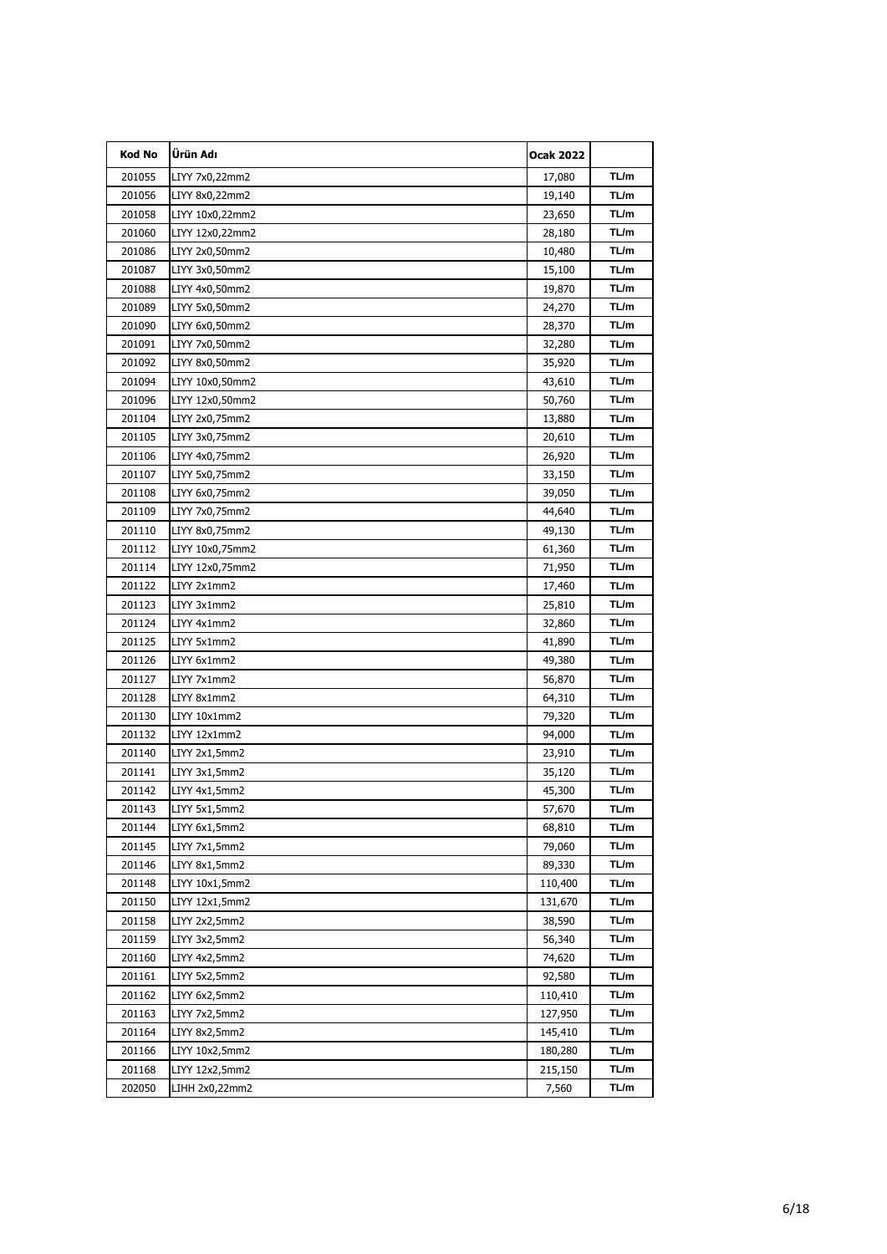| <b>Kod No</b> | Ürün Adı        | <b>Ocak 2022</b> |       |
|---------------|-----------------|------------------|-------|
| 201055        | LIYY 7x0,22mm2  | 17,080           | TL/m  |
| 201056        | LIYY 8x0,22mm2  | 19,140           | TL/m  |
| 201058        | LIYY 10x0,22mm2 | 23,650           | TL/m  |
| 201060        | LIYY 12x0,22mm2 | 28,180           | TL/m  |
| 201086        | LIYY 2x0,50mm2  | 10,480           | TL/m  |
| 201087        | LIYY 3x0,50mm2  | 15,100           | TL/m  |
| 201088        | LIYY 4x0,50mm2  | 19,870           | TL/m  |
| 201089        | LIYY 5x0,50mm2  | 24,270           | TL/m  |
| 201090        | LIYY 6x0,50mm2  | 28,370           | TL/m  |
| 201091        | LIYY 7x0,50mm2  | 32,280           | TL/m  |
| 201092        | LIYY 8x0,50mm2  | 35,920           | TL/m  |
| 201094        | LIYY 10x0,50mm2 | 43,610           | TL/m  |
| 201096        | LIYY 12x0,50mm2 | 50,760           | TL/m  |
| 201104        | LIYY 2x0,75mm2  | 13,880           | TL/m  |
| 201105        | LIYY 3x0,75mm2  | 20,610           | TL/m  |
| 201106        | LIYY 4x0,75mm2  | 26,920           | TL/m  |
| 201107        | LIYY 5x0,75mm2  | 33,150           | TL/m  |
| 201108        | LIYY 6x0,75mm2  | 39,050           | TL/m  |
| 201109        | LIYY 7x0,75mm2  | 44,640           | TL/m  |
| 201110        | LIYY 8x0,75mm2  | 49,130           | TL/m  |
| 201112        | LIYY 10x0,75mm2 | 61,360           | TL/m  |
| 201114        | LIYY 12x0,75mm2 | 71,950           | TL/m  |
| 201122        | LIYY 2x1mm2     | 17,460           | TL/m  |
| 201123        | LIYY 3x1mm2     | 25,810           | TL/m  |
| 201124        | LIYY 4x1mm2     | 32,860           | TL/m  |
| 201125        | LIYY 5x1mm2     | 41,890           | TL/m  |
| 201126        | LIYY 6x1mm2     | 49,380           | TL/m  |
| 201127        | LIYY 7x1mm2     | 56,870           | TL/m  |
| 201128        | LIYY 8x1mm2     | 64,310           | TL/m  |
| 201130        | LIYY 10x1mm2    | 79,320           | TL/m  |
| 201132        | LIYY 12x1mm2    | 94,000           | TL/m  |
| 201140        | LIYY 2x1,5mm2   | 23,910           | TL/m  |
| 201141        | LIYY 3x1,5mm2   | 35,120           | TL/m  |
| 201142        | LIYY 4x1,5mm2   | 45,300           | TL/m  |
| 201143        | LIYY 5x1,5mm2   | 57,670           | I L/m |
| 201144        | LIYY 6x1,5mm2   | 68,810           | TL/m  |
| 201145        | LIYY 7x1,5mm2   | 79,060           | TL/m  |
| 201146        | LIYY 8x1,5mm2   | 89,330           | TL/m  |
| 201148        | LIYY 10x1,5mm2  | 110,400          | TL/m  |
| 201150        | LIYY 12x1,5mm2  | 131,670          | TL/m  |
| 201158        | LIYY 2x2,5mm2   | 38,590           | TL/m  |
| 201159        | LIYY 3x2,5mm2   | 56,340           | TL/m  |
| 201160        | LIYY 4x2,5mm2   | 74,620           | TL/m  |
| 201161        | LIYY 5x2,5mm2   | 92,580           | TL/m  |
| 201162        | LIYY 6x2,5mm2   | 110,410          | TL/m  |
| 201163        | LIYY 7x2,5mm2   | 127,950          | TL/m  |
| 201164        | LIYY 8x2,5mm2   | 145,410          | TL/m  |
| 201166        | LIYY 10x2,5mm2  | 180,280          | TL/m  |
| 201168        | LIYY 12x2,5mm2  | 215,150          | TL/m  |
| 202050        | LIHH 2x0,22mm2  | 7,560            | TL/m  |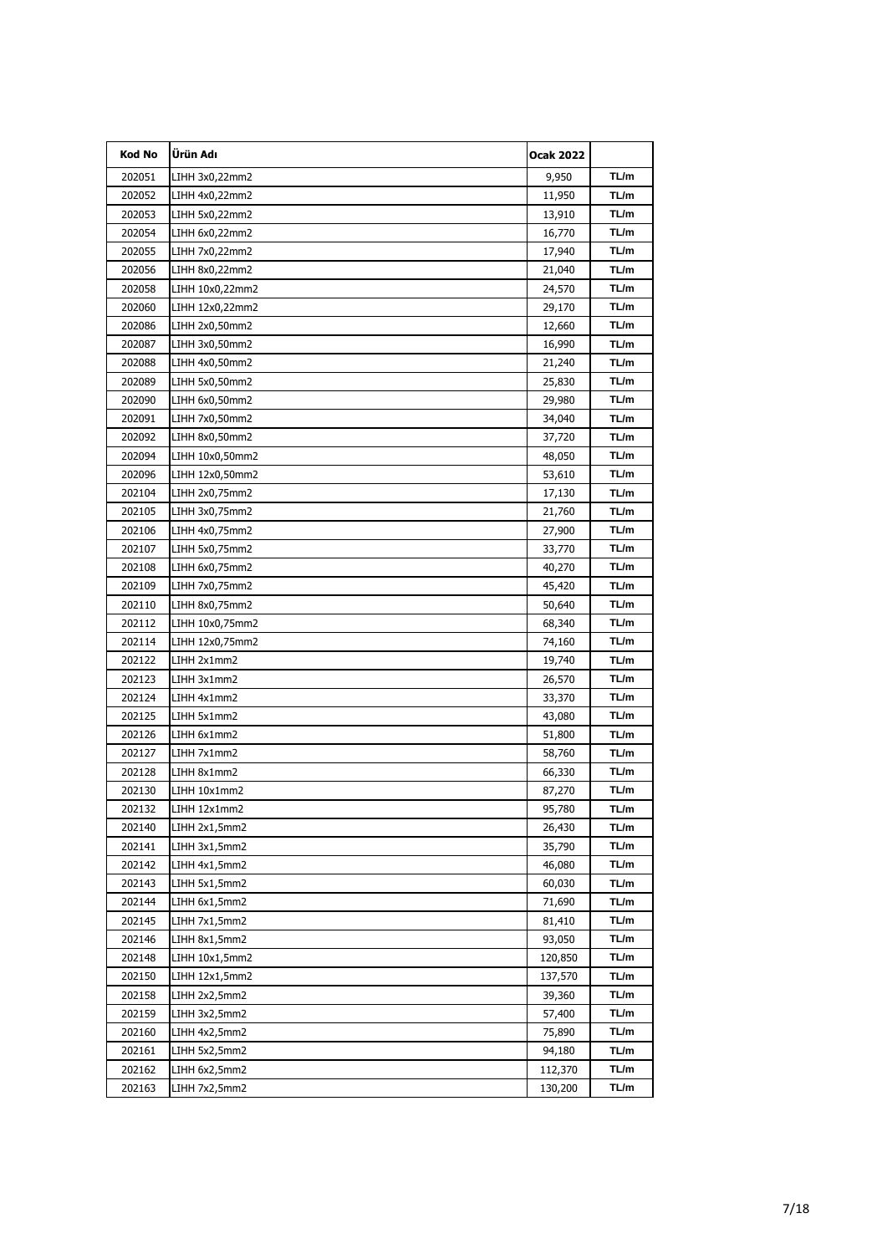| Kod No | Ürün Adı        | <b>Ocak 2022</b> |       |
|--------|-----------------|------------------|-------|
| 202051 | LIHH 3x0,22mm2  | 9,950            | TL/m  |
| 202052 | LIHH 4x0,22mm2  | 11,950           | TL/m  |
| 202053 | LIHH 5x0,22mm2  | 13,910           | TL/m  |
| 202054 | LIHH 6x0,22mm2  | 16,770           | TL/m  |
| 202055 | LIHH 7x0,22mm2  | 17,940           | TL/m  |
| 202056 | LIHH 8x0,22mm2  | 21,040           | TL/m  |
| 202058 | LIHH 10x0,22mm2 | 24,570           | TL/m  |
| 202060 | LIHH 12x0,22mm2 | 29,170           | TL/m  |
| 202086 | LIHH 2x0,50mm2  | 12,660           | TL/m  |
| 202087 | LIHH 3x0,50mm2  | 16,990           | TL/m  |
| 202088 | LIHH 4x0,50mm2  | 21,240           | TL/m  |
| 202089 | LIHH 5x0,50mm2  | 25,830           | TL/m  |
| 202090 | LIHH 6x0,50mm2  | 29,980           | TL/m  |
| 202091 | LIHH 7x0,50mm2  | 34,040           | TL/m  |
| 202092 | LIHH 8x0,50mm2  | 37,720           | TL/m  |
| 202094 | LIHH 10x0,50mm2 | 48,050           | TL/m  |
| 202096 | LIHH 12x0,50mm2 | 53,610           | TL/m  |
| 202104 | LIHH 2x0,75mm2  | 17,130           | TL/m  |
| 202105 | LIHH 3x0,75mm2  | 21,760           | TL/m  |
| 202106 | LIHH 4x0,75mm2  | 27,900           | TL/m  |
| 202107 | LIHH 5x0,75mm2  | 33,770           | TL/m  |
| 202108 | LIHH 6x0,75mm2  | 40,270           | TL/m  |
| 202109 | LIHH 7x0,75mm2  | 45,420           | TL/m  |
| 202110 | LIHH 8x0,75mm2  | 50,640           | TL/m  |
| 202112 | LIHH 10x0,75mm2 | 68,340           | TL/m  |
| 202114 | LIHH 12x0,75mm2 | 74,160           | TL/m  |
| 202122 | LIHH 2x1mm2     | 19,740           | TL/m  |
| 202123 | LIHH 3x1mm2     | 26,570           | TL/m  |
| 202124 | LIHH 4x1mm2     | 33,370           | TL/m  |
| 202125 | LIHH 5x1mm2     | 43,080           | TL/m  |
| 202126 | LIHH 6x1mm2     | 51,800           | TL/m  |
| 202127 | LIHH 7x1mm2     | 58,760           | TL/m  |
| 202128 | LIHH 8x1mm2     | 66,330           | TL/m  |
| 202130 | LIHH 10x1mm2    | 87,270           | TL/m  |
| 202132 | LIHH 12x1mm2    | 95,780           | I L/m |
| 202140 | LIHH 2x1,5mm2   | 26,430           | TL/m  |
| 202141 | LIHH 3x1,5mm2   | 35,790           | TL/m  |
| 202142 | LIHH 4x1,5mm2   | 46,080           | TL/m  |
| 202143 | LIHH 5x1,5mm2   | 60,030           | TL/m  |
| 202144 | LIHH 6x1,5mm2   | 71,690           | TL/m  |
| 202145 | LIHH 7x1,5mm2   | 81,410           | TL/m  |
| 202146 | LIHH 8x1,5mm2   | 93,050           | TL/m  |
| 202148 | LIHH 10x1,5mm2  | 120,850          | TL/m  |
| 202150 | LIHH 12x1,5mm2  | 137,570          | TL/m  |
| 202158 | LIHH 2x2,5mm2   | 39,360           | TL/m  |
| 202159 | LIHH 3x2,5mm2   | 57,400           | TL/m  |
| 202160 | LIHH 4x2,5mm2   | 75,890           | TL/m  |
| 202161 | LIHH 5x2,5mm2   | 94,180           | TL/m  |
| 202162 | LIHH 6x2,5mm2   | 112,370          | TL/m  |
| 202163 | LIHH 7x2,5mm2   | 130,200          | TL/m  |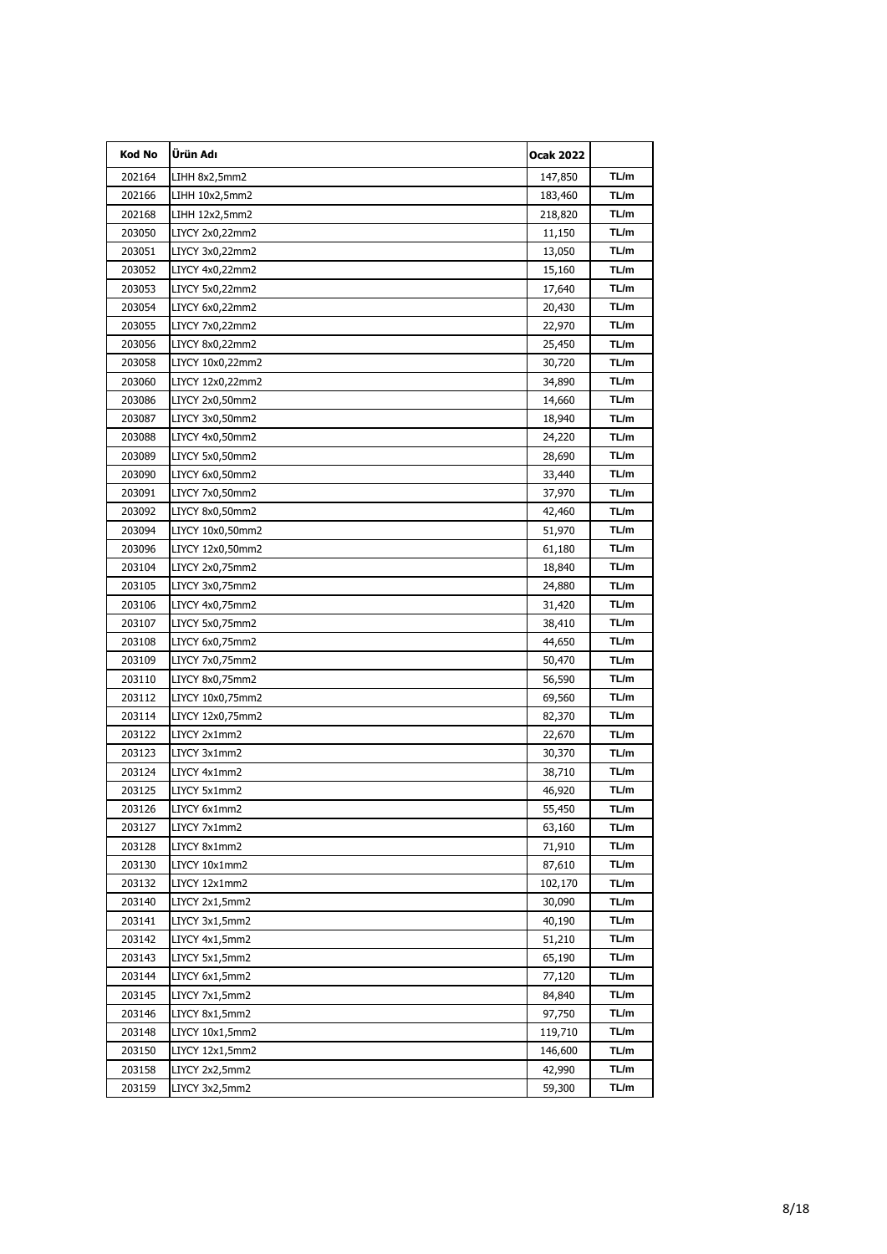| Kod No | Ürün Adı         | <b>Ocak 2022</b> |      |
|--------|------------------|------------------|------|
| 202164 | LIHH 8x2,5mm2    | 147,850          | TL/m |
| 202166 | LIHH 10x2,5mm2   | 183,460          | TL/m |
| 202168 | LIHH 12x2,5mm2   | 218,820          | TL/m |
| 203050 | LIYCY 2x0,22mm2  | 11,150           | TL/m |
| 203051 | LIYCY 3x0,22mm2  | 13,050           | TL/m |
| 203052 | LIYCY 4x0,22mm2  | 15,160           | TL/m |
| 203053 | LIYCY 5x0,22mm2  | 17,640           | TL/m |
| 203054 | LIYCY 6x0,22mm2  | 20,430           | TL/m |
| 203055 | LIYCY 7x0,22mm2  | 22,970           | TL/m |
| 203056 | LIYCY 8x0,22mm2  | 25,450           | TL/m |
| 203058 | LIYCY 10x0,22mm2 | 30,720           | TL/m |
| 203060 | LIYCY 12x0,22mm2 | 34,890           | TL/m |
| 203086 | LIYCY 2x0,50mm2  | 14,660           | TL/m |
| 203087 | LIYCY 3x0,50mm2  | 18,940           | TL/m |
| 203088 | LIYCY 4x0,50mm2  | 24,220           | TL/m |
| 203089 | LIYCY 5x0,50mm2  | 28,690           | TL/m |
| 203090 | LIYCY 6x0,50mm2  | 33,440           | TL/m |
| 203091 | LIYCY 7x0,50mm2  | 37,970           | TL/m |
| 203092 | LIYCY 8x0,50mm2  | 42,460           | TL/m |
| 203094 | LIYCY 10x0,50mm2 | 51,970           | TL/m |
| 203096 | LIYCY 12x0,50mm2 | 61,180           | TL/m |
| 203104 | LIYCY 2x0,75mm2  | 18,840           | TL/m |
| 203105 | LIYCY 3x0,75mm2  | 24,880           | TL/m |
| 203106 | LIYCY 4x0,75mm2  | 31,420           | TL/m |
| 203107 | LIYCY 5x0,75mm2  | 38,410           | TL/m |
| 203108 | LIYCY 6x0,75mm2  | 44,650           | TL/m |
| 203109 | LIYCY 7x0,75mm2  | 50,470           | TL/m |
| 203110 | LIYCY 8x0,75mm2  | 56,590           | TL/m |
| 203112 | LIYCY 10x0,75mm2 | 69,560           | TL/m |
| 203114 | LIYCY 12x0,75mm2 | 82,370           | TL/m |
| 203122 | LIYCY 2x1mm2     | 22,670           | TL/m |
| 203123 | LIYCY 3x1mm2     | 30,370           | TL/m |
| 203124 | LIYCY 4x1mm2     | 38,710           | TL/m |
| 203125 | LIYCY 5x1mm2     | 46,920           | TL/m |
| 203126 | LIYCY 6x1mm2     | 55,450           | ∣L/m |
| 203127 | LIYCY 7x1mm2     | 63,160           | TL/m |
| 203128 | LIYCY 8x1mm2     | 71,910           | TL/m |
| 203130 | LIYCY 10x1mm2    | 87,610           | TL/m |
| 203132 | LIYCY 12x1mm2    | 102,170          | TL/m |
| 203140 | LIYCY 2x1,5mm2   | 30,090           | TL/m |
| 203141 | LIYCY 3x1,5mm2   | 40,190           | TL/m |
| 203142 | LIYCY 4x1,5mm2   | 51,210           | TL/m |
| 203143 | LIYCY 5x1,5mm2   | 65,190           | TL/m |
| 203144 | LIYCY 6x1,5mm2   | 77,120           | TL/m |
| 203145 | LIYCY 7x1,5mm2   | 84,840           | TL/m |
| 203146 | LIYCY 8x1,5mm2   | 97,750           | TL/m |
| 203148 | LIYCY 10x1,5mm2  | 119,710          | TL/m |
| 203150 | LIYCY 12x1,5mm2  | 146,600          | TL/m |
| 203158 | LIYCY 2x2,5mm2   | 42,990           | TL/m |
| 203159 | LIYCY 3x2,5mm2   | 59,300           | TL/m |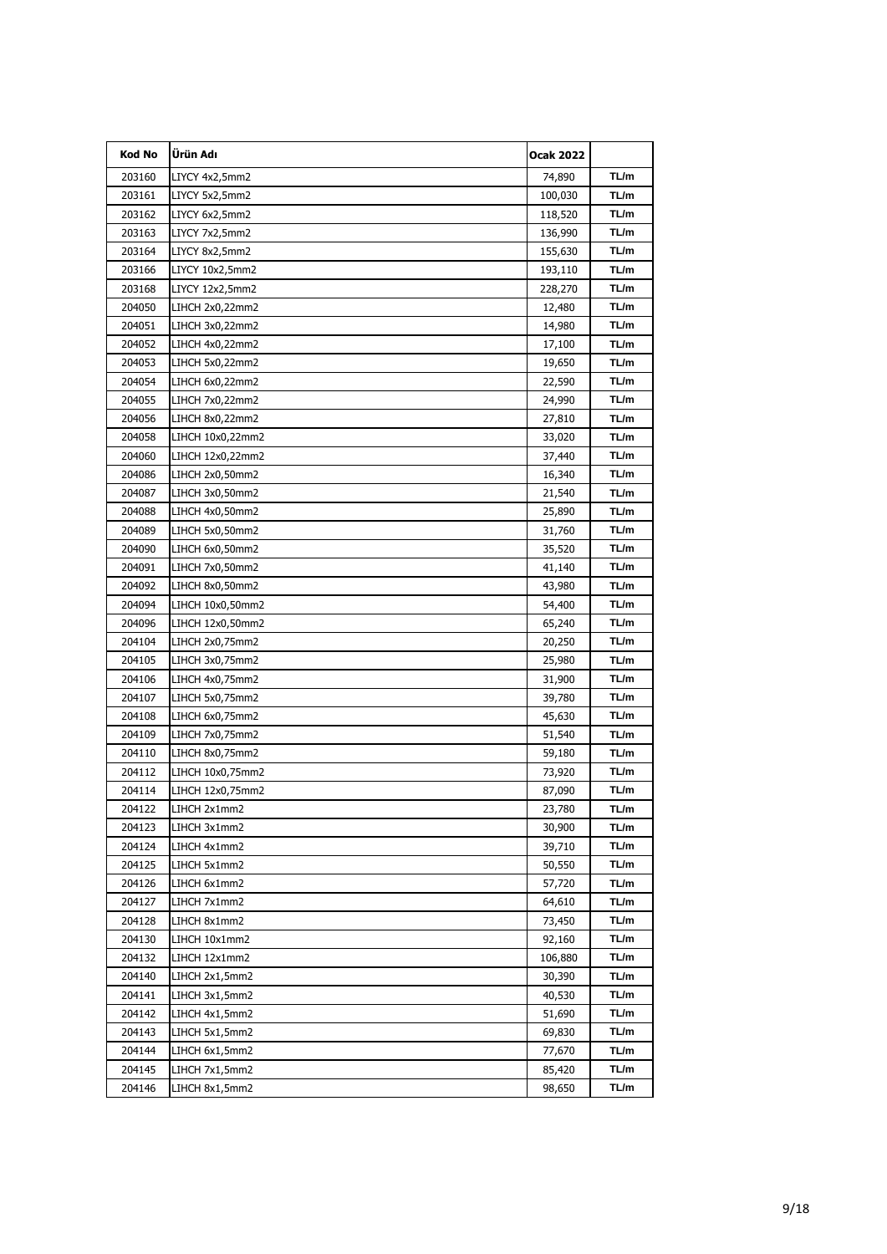| Kod No | Ürün Adı         | <b>Ocak 2022</b> |       |
|--------|------------------|------------------|-------|
| 203160 | LIYCY 4x2,5mm2   | 74,890           | TL/m  |
| 203161 | LIYCY 5x2,5mm2   | 100,030          | TL/m  |
| 203162 | LIYCY 6x2,5mm2   | 118,520          | TL/m  |
| 203163 | LIYCY 7x2,5mm2   | 136,990          | TL/m  |
| 203164 | LIYCY 8x2,5mm2   | 155,630          | TL/m  |
| 203166 | LIYCY 10x2,5mm2  | 193,110          | TL/m  |
| 203168 | LIYCY 12x2,5mm2  | 228,270          | TL/m  |
| 204050 | LIHCH 2x0,22mm2  | 12,480           | TL/m  |
| 204051 | LIHCH 3x0,22mm2  | 14,980           | TL/m  |
| 204052 | LIHCH 4x0,22mm2  | 17,100           | TL/m  |
| 204053 | LIHCH 5x0,22mm2  | 19,650           | TL/m  |
| 204054 | LIHCH 6x0,22mm2  | 22,590           | TL/m  |
| 204055 | LIHCH 7x0,22mm2  | 24,990           | TL/m  |
| 204056 | LIHCH 8x0,22mm2  | 27,810           | TL/m  |
| 204058 | LIHCH 10x0,22mm2 | 33,020           | TL/m  |
| 204060 | LIHCH 12x0,22mm2 | 37,440           | TL/m  |
| 204086 | LIHCH 2x0,50mm2  | 16,340           | TL/m  |
| 204087 | LIHCH 3x0,50mm2  | 21,540           | TL/m  |
| 204088 | LIHCH 4x0,50mm2  | 25,890           | TL/m  |
| 204089 | LIHCH 5x0,50mm2  | 31,760           | TL/m  |
| 204090 | LIHCH 6x0,50mm2  | 35,520           | TL/m  |
| 204091 | LIHCH 7x0,50mm2  | 41,140           | TL/m  |
| 204092 | LIHCH 8x0,50mm2  | 43,980           | TL/m  |
| 204094 | LIHCH 10x0,50mm2 | 54,400           | TL/m  |
| 204096 | LIHCH 12x0,50mm2 | 65,240           | TL/m  |
| 204104 | LIHCH 2x0,75mm2  | 20,250           | TL/m  |
| 204105 | LIHCH 3x0,75mm2  | 25,980           | TL/m  |
| 204106 | LIHCH 4x0,75mm2  | 31,900           | TL/m  |
| 204107 | LIHCH 5x0,75mm2  | 39,780           | TL/m  |
| 204108 | LIHCH 6x0,75mm2  | 45,630           | TL/m  |
| 204109 | LIHCH 7x0,75mm2  | 51,540           | TL/m  |
| 204110 | LIHCH 8x0,75mm2  | 59,180           | TL/m  |
| 204112 | LIHCH 10x0,75mm2 | 73,920           | TL/m  |
| 204114 | LIHCH 12x0,75mm2 | 87,090           | TL/m  |
| 204122 | LIHCH 2x1mm2     | 23,780           | I L/m |
| 204123 | LIHCH 3x1mm2     | 30,900           | TL/m  |
| 204124 | LIHCH 4x1mm2     | 39,710           | TL/m  |
| 204125 | LIHCH 5x1mm2     | 50,550           | TL/m  |
| 204126 | LIHCH 6x1mm2     | 57,720           | TL/m  |
| 204127 | LIHCH 7x1mm2     | 64,610           | TL/m  |
| 204128 | LIHCH 8x1mm2     | 73,450           | TL/m  |
| 204130 | LIHCH 10x1mm2    | 92,160           | TL/m  |
| 204132 | LIHCH 12x1mm2    | 106,880          | TL/m  |
| 204140 | LIHCH 2x1,5mm2   | 30,390           | TL/m  |
| 204141 | LIHCH 3x1,5mm2   | 40,530           | TL/m  |
| 204142 | LIHCH 4x1,5mm2   | 51,690           | TL/m  |
| 204143 | LIHCH 5x1,5mm2   | 69,830           | TL/m  |
| 204144 | LIHCH 6x1,5mm2   | 77,670           | TL/m  |
| 204145 | LIHCH 7x1,5mm2   | 85,420           | TL/m  |
| 204146 | LIHCH 8x1,5mm2   | 98,650           | TL/m  |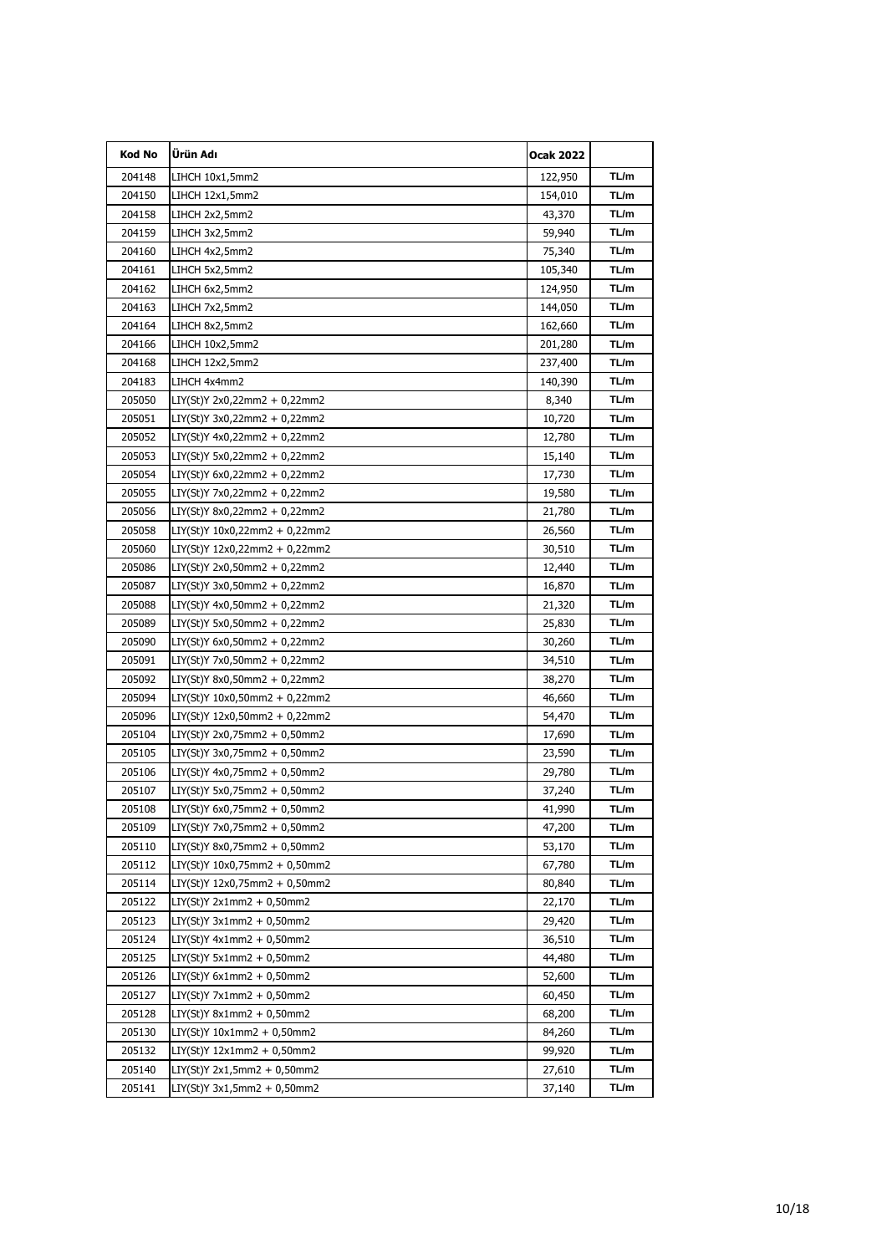| Kod No | Ürün Adı                         | <b>Ocak 2022</b> |      |
|--------|----------------------------------|------------------|------|
| 204148 | LIHCH 10x1,5mm2                  | 122,950          | TL/m |
| 204150 | LIHCH 12x1,5mm2                  | 154,010          | TL/m |
| 204158 | LIHCH 2x2,5mm2                   | 43,370           | TL/m |
| 204159 | LIHCH 3x2,5mm2                   | 59,940           | TL/m |
| 204160 | LIHCH 4x2,5mm2                   | 75,340           | TL/m |
| 204161 | LIHCH 5x2,5mm2                   | 105,340          | TL/m |
| 204162 | LIHCH 6x2,5mm2                   | 124,950          | TL/m |
| 204163 | LIHCH 7x2,5mm2                   | 144,050          | TL/m |
| 204164 | LIHCH 8x2,5mm2                   | 162,660          | TL/m |
| 204166 | LIHCH 10x2,5mm2                  | 201,280          | TL/m |
| 204168 | LIHCH 12x2,5mm2                  | 237,400          | TL/m |
| 204183 | LIHCH 4x4mm2                     | 140,390          | TL/m |
| 205050 | LIY(St)Y 2x0,22mm2 + 0,22mm2     | 8,340            | TL/m |
| 205051 | LIY(St)Y 3x0,22mm2 + 0,22mm2     | 10,720           | TL/m |
| 205052 | $LIY(St)Y 4x0, 22mm2 + 0, 22mm2$ | 12,780           | TL/m |
| 205053 | LIY(St)Y 5x0,22mm2 + 0,22mm2     | 15,140           | TL/m |
| 205054 | LIY(St)Y 6x0,22mm2 + 0,22mm2     | 17,730           | TL/m |
| 205055 | LIY(St)Y 7x0,22mm2 + 0,22mm2     | 19,580           | TL/m |
| 205056 | LIY(St)Y 8x0,22mm2 + 0,22mm2     | 21,780           | TL/m |
| 205058 | LIY(St)Y 10x0,22mm2 + 0,22mm2    | 26,560           | TL/m |
| 205060 | LIY(St)Y 12x0,22mm2 + 0,22mm2    | 30,510           | TL/m |
| 205086 | LIY(St)Y 2x0,50mm2 + 0,22mm2     | 12,440           | TL/m |
| 205087 | LIY(St)Y 3x0,50mm2 + 0,22mm2     | 16,870           | TL/m |
| 205088 | LIY(St)Y 4x0,50mm2 + 0,22mm2     | 21,320           | TL/m |
| 205089 | $LIY(St)Y 5x0,50mm2 + 0,22mm2$   | 25,830           | TL/m |
| 205090 | LIY(St)Y 6x0,50mm2 + 0,22mm2     | 30,260           | TL/m |
| 205091 | LIY(St)Y 7x0,50mm2 + 0,22mm2     | 34,510           | TL/m |
| 205092 | LIY(St)Y 8x0,50mm2 + 0,22mm2     | 38,270           | TL/m |
| 205094 | LIY(St)Y 10x0,50mm2 + 0,22mm2    | 46,660           | TL/m |
| 205096 | LIY(St)Y 12x0,50mm2 + 0,22mm2    | 54,470           | TL/m |
| 205104 | LIY(St)Y 2x0,75mm2 + 0,50mm2     | 17,690           | TL/m |
| 205105 | LIY(St)Y 3x0,75mm2 + 0,50mm2     | 23,590           | TL/m |
| 205106 | LIY(St)Y 4x0,75mm2 + 0,50mm2     | 29,780           | TL/m |
| 205107 | LIY(St)Y 5x0,75mm2 + 0,50mm2     | 37,240           | TL/m |
| 205108 | LIY(St)Y 6x0,75mm2 + 0,50mm2     | 41,990           | ∣L/m |
| 205109 | LIY(St)Y 7x0,75mm2 + 0,50mm2     | 47,200           | TL/m |
| 205110 | LIY(St)Y 8x0,75mm2 + 0,50mm2     | 53,170           | TL/m |
| 205112 | LIY(St)Y 10x0,75mm2 + 0,50mm2    | 67,780           | TL/m |
| 205114 | LIY(St)Y 12x0,75mm2 + 0,50mm2    | 80,840           | TL/m |
| 205122 | $LIY(St)Y 2x1mm2 + 0,50mm2$      | 22,170           | TL/m |
| 205123 | LIY(St)Y 3x1mm2 + 0,50mm2        | 29,420           | TL/m |
| 205124 | LIY(St)Y 4x1mm2 + 0,50mm2        | 36,510           | TL/m |
| 205125 | LIY(St)Y 5x1mm2 + 0,50mm2        | 44,480           | TL/m |
| 205126 | LIY(St)Y 6x1mm2 + 0,50mm2        | 52,600           | TL/m |
| 205127 | LIY(St)Y 7x1mm2 + 0,50mm2        | 60,450           | TL/m |
| 205128 | $LIY(St)Y 8x1mm2 + 0,50mm2$      | 68,200           | TL/m |
| 205130 | LIY(St)Y 10x1mm2 + 0,50mm2       | 84,260           | TL/m |
| 205132 | LIY(St)Y 12x1mm2 + 0,50mm2       | 99,920           | TL/m |
| 205140 | LIY(St)Y 2x1,5mm2 + 0,50mm2      | 27,610           | TL/m |
| 205141 | LIY(St)Y 3x1,5mm2 + 0,50mm2      | 37,140           | TL/m |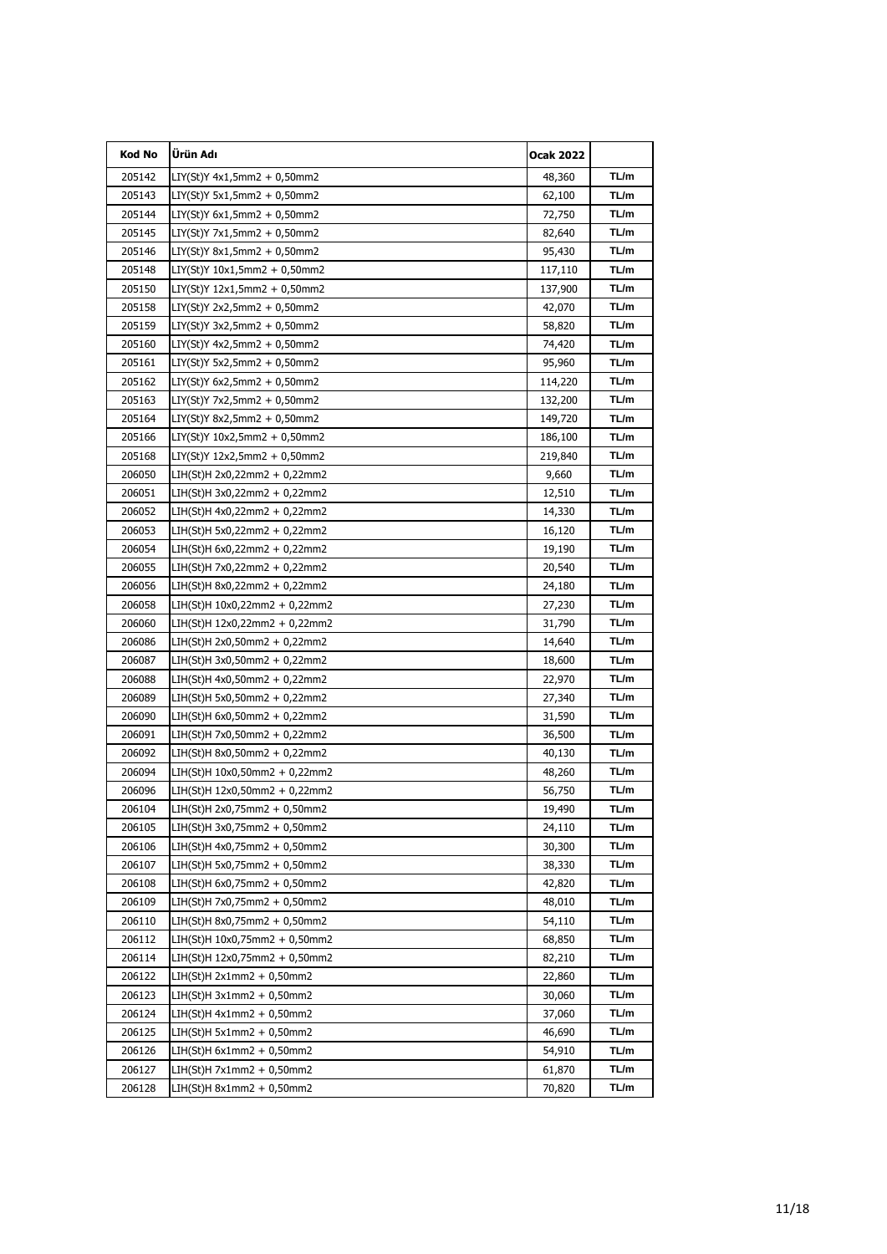| Kod No           | Ürün Adı                                                   | <b>Ocak 2022</b> |              |
|------------------|------------------------------------------------------------|------------------|--------------|
| 205142           | LIY(St)Y 4x1,5mm2 + 0,50mm2                                | 48,360           | TL/m         |
| 205143           | $LIY(St)Y 5x1,5mm2 + 0,50mm2$                              | 62,100           | TL/m         |
| 205144           | $LIY(St)Y 6x1, 5mm2 + 0, 50mm2$                            | 72,750           | TL/m         |
| 205145           | LIY(St)Y 7x1,5mm2 + 0,50mm2                                | 82,640           | TL/m         |
| 205146           | LIY(St)Y 8x1,5mm2 + 0,50mm2                                | 95,430           | TL/m         |
| 205148           | LIY(St)Y 10x1,5mm2 + 0,50mm2                               | 117,110          | TL/m         |
| 205150           | LIY(St)Y 12x1,5mm2 + 0,50mm2                               | 137,900          | TL/m         |
| 205158           | LIY(St)Y 2x2,5mm2 + 0,50mm2                                | 42,070           | TL/m         |
| 205159           | LIY(St)Y 3x2,5mm2 + 0,50mm2                                | 58,820           | TL/m         |
| 205160           | LIY(St)Y 4x2,5mm2 + 0,50mm2                                | 74,420           | TL/m         |
| 205161           | $LIY(St)Y 5x2,5mm2 + 0,50mm2$                              | 95,960           | TL/m         |
| 205162           | LIY(St)Y 6x2,5mm2 + 0,50mm2                                | 114,220          | TL/m         |
| 205163           | $LIY(St)Y 7x2,5mm2 + 0,50mm2$                              | 132,200          | TL/m         |
| 205164           | $LIY(St)Y 8x2,5mm2 + 0,50mm2$                              | 149,720          | TL/m         |
| 205166           | $LIY(St)Y 10x2,5mm2 + 0,50mm2$                             | 186,100          | TL/m         |
| 205168           | LIY(St)Y 12x2,5mm2 + 0,50mm2                               | 219,840          | TL/m         |
| 206050           | LIH(St)H 2x0,22mm2 + 0,22mm2                               | 9,660            | TL/m         |
| 206051           | LIH(St)H 3x0,22mm2 + 0,22mm2                               | 12,510           | TL/m         |
| 206052           | LIH(St)H 4x0,22mm2 + 0,22mm2                               | 14,330           | TL/m         |
| 206053           | LIH(St)H 5x0,22mm2 + 0,22mm2                               | 16,120           | TL/m         |
| 206054           | LIH(St)H 6x0,22mm2 + 0,22mm2                               | 19,190           | TL/m         |
| 206055           | LIH(St)H 7x0,22mm2 + 0,22mm2                               | 20,540           | TL/m         |
| 206056           | LIH(St)H 8x0,22mm2 + 0,22mm2                               | 24,180           | TL/m         |
| 206058           | LIH(St)H 10x0,22mm2 + 0,22mm2                              | 27,230           | TL/m         |
| 206060           | LIH(St)H 12x0,22mm2 + 0,22mm2                              | 31,790           | TL/m         |
| 206086           | LIH(St)H 2x0,50mm2 + 0,22mm2                               | 14,640           | TL/m         |
| 206087           | LIH(St)H 3x0,50mm2 + 0,22mm2                               | 18,600           | TL/m         |
| 206088           | LIH(St)H 4x0,50mm2 + 0,22mm2                               | 22,970           | TL/m         |
| 206089           | LIH(St)H 5x0,50mm2 + 0,22mm2                               | 27,340           | TL/m         |
| 206090           | LIH(St)H 6x0,50mm2 + 0,22mm2                               | 31,590           | TL/m         |
| 206091           | LIH(St)H 7x0,50mm2 + 0,22mm2                               | 36,500           | TL/m         |
| 206092           | LIH(St)H 8x0,50mm2 + 0,22mm2                               | 40,130           | TL/m         |
| 206094           | LIH(St)H 10x0,50mm2 + 0,22mm2                              | 48,260           | TL/m         |
| 206096           | LIH(St)H 12x0,50mm2 + 0,22mm2                              | 56,750           | TL/m         |
| 206104           | LIH(St)H 2x0,75mm2 + 0,50mm2                               | 19,490           | I L/m        |
| 206105           | LIH(St)H 3x0,75mm2 + 0,50mm2                               | 24,110           | TL/m         |
| 206106           | LIH(St)H 4x0,75mm2 + 0,50mm2                               | 30,300           | TL/m         |
| 206107           | LIH(St)H 5x0,75mm2 + 0,50mm2                               | 38,330           | TL/m         |
| 206108           | LIH(St)H 6x0,75mm2 + 0,50mm2                               | 42,820           | TL/m         |
| 206109           | LIH(St)H 7x0,75mm2 + 0,50mm2                               | 48,010           | TL/m         |
| 206110           | LIH(St)H 8x0,75mm2 + 0,50mm2                               | 54,110           | TL/m         |
| 206112           | LIH(St)H 10x0,75mm2 + 0,50mm2                              | 68,850           | TL/m         |
| 206114<br>206122 | LIH(St)H 12x0,75mm2 + 0,50mm2<br>LIH(St)H 2x1mm2 + 0,50mm2 | 82,210           | TL/m<br>TL/m |
|                  |                                                            | 22,860           |              |
| 206123           | LIH(St)H 3x1mm2 + 0,50mm2                                  | 30,060           | TL/m<br>TL/m |
| 206124<br>206125 | LIH(St)H 4x1mm2 + 0,50mm2<br>LIH(St)H 5x1mm2 + 0,50mm2     | 37,060           | TL/m         |
| 206126           |                                                            | 46,690           | TL/m         |
|                  | LIH(St)H 6x1mm2 + 0,50mm2                                  | 54,910           |              |
| 206127           | LIH(St)H 7x1mm2 + 0,50mm2                                  | 61,870           | TL/m         |
| 206128           | LIH(St)H 8x1mm2 + 0,50mm2                                  | 70,820           | TL/m         |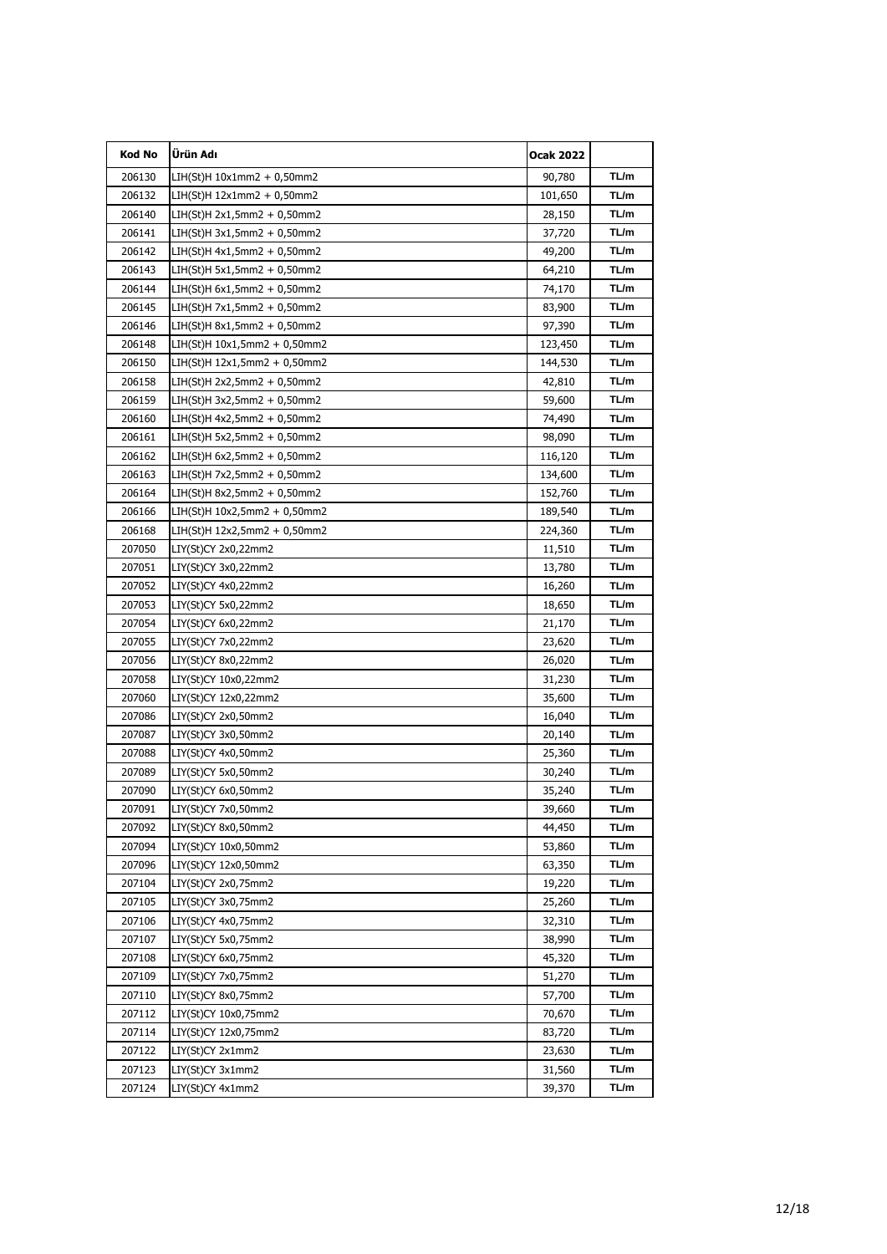| Kod No | Ürün Adı                      | Ocak 2022 |      |
|--------|-------------------------------|-----------|------|
| 206130 | LIH(St)H 10x1mm2 + 0,50mm2    | 90,780    | TL/m |
| 206132 | $LIH(St)H 12x1mm2 + 0,50mm2$  | 101,650   | TL/m |
| 206140 | LIH(St)H 2x1,5mm2 + 0,50mm2   | 28,150    | TL/m |
| 206141 | LIH(St)H 3x1,5mm2 + 0,50mm2   | 37,720    | TL/m |
| 206142 | LIH(St)H 4x1,5mm2 + 0,50mm2   | 49,200    | TL/m |
| 206143 | LIH(St)H 5x1,5mm2 + 0,50mm2   | 64,210    | TL/m |
| 206144 | LIH(St)H 6x1,5mm2 + 0,50mm2   | 74,170    | TL/m |
| 206145 | LIH(St)H 7x1,5mm2 + 0,50mm2   | 83,900    | TL/m |
| 206146 | LIH(St)H 8x1,5mm2 + 0,50mm2   | 97,390    | TL/m |
| 206148 | LIH(St)H 10x1,5mm2 + 0,50mm2  | 123,450   | TL/m |
| 206150 | LIH(St)H 12x1,5mm2 + 0,50mm2  | 144,530   | TL/m |
| 206158 | LIH(St)H 2x2,5mm2 + 0,50mm2   | 42,810    | TL/m |
| 206159 | LIH(St)H 3x2,5mm2 + 0,50mm2   | 59,600    | TL/m |
| 206160 | $LIH(St)H 4x2,5mm2 + 0,50mm2$ | 74,490    | TL/m |
| 206161 | LIH(St)H 5x2,5mm2 + 0,50mm2   | 98,090    | TL/m |
| 206162 | LIH(St)H 6x2,5mm2 + 0,50mm2   | 116,120   | TL/m |
| 206163 | LIH(St)H 7x2,5mm2 + 0,50mm2   | 134,600   | TL/m |
| 206164 | LIH(St)H 8x2,5mm2 + 0,50mm2   | 152,760   | TL/m |
| 206166 | LIH(St)H 10x2,5mm2 + 0,50mm2  | 189,540   | TL/m |
| 206168 | LIH(St)H 12x2,5mm2 + 0,50mm2  | 224,360   | TL/m |
| 207050 | LIY(St)CY 2x0,22mm2           | 11,510    | TL/m |
| 207051 | LIY(St)CY 3x0,22mm2           | 13,780    | TL/m |
| 207052 | LIY(St)CY 4x0,22mm2           | 16,260    | TL/m |
| 207053 | LIY(St)CY 5x0,22mm2           | 18,650    | TL/m |
| 207054 | LIY(St)CY 6x0,22mm2           | 21,170    | TL/m |
| 207055 | LIY(St)CY 7x0,22mm2           | 23,620    | TL/m |
| 207056 | LIY(St)CY 8x0,22mm2           | 26,020    | TL/m |
| 207058 | LIY(St)CY 10x0,22mm2          | 31,230    | TL/m |
| 207060 | LIY(St)CY 12x0,22mm2          | 35,600    | TL/m |
| 207086 | LIY(St)CY 2x0,50mm2           | 16,040    | TL/m |
| 207087 | LIY(St)CY 3x0,50mm2           | 20,140    | TL/m |
| 207088 | LIY(St)CY 4x0,50mm2           | 25,360    | TL/m |
| 207089 | LIY(St)CY 5x0,50mm2           | 30,240    | TL/m |
| 207090 | LIY(St)CY 6x0,50mm2           | 35,240    | TL/m |
| 207091 | LIY(St)CY 7x0,50mm2           | 39,660    | TL/m |
| 207092 | LIY(St)CY 8x0,50mm2           | 44,450    | TL/m |
| 207094 | LIY(St)CY 10x0,50mm2          | 53,860    | TL/m |
| 207096 | LIY(St)CY 12x0,50mm2          | 63,350    | TL/m |
| 207104 | LIY(St)CY 2x0,75mm2           | 19,220    | TL/m |
| 207105 | LIY(St)CY 3x0,75mm2           | 25,260    | TL/m |
| 207106 | LIY(St)CY 4x0,75mm2           | 32,310    | TL/m |
| 207107 | LIY(St)CY 5x0,75mm2           | 38,990    | TL/m |
| 207108 | LIY(St)CY 6x0,75mm2           | 45,320    | TL/m |
| 207109 | LIY(St)CY 7x0,75mm2           | 51,270    | TL/m |
| 207110 | LIY(St)CY 8x0,75mm2           | 57,700    | TL/m |
| 207112 | LIY(St)CY 10x0,75mm2          | 70,670    | TL/m |
| 207114 | LIY(St)CY 12x0,75mm2          | 83,720    | TL/m |
| 207122 | LIY(St)CY 2x1mm2              | 23,630    | TL/m |
| 207123 | LIY(St)CY 3x1mm2              | 31,560    | TL/m |
| 207124 | LIY(St)CY 4x1mm2              | 39,370    | TL/m |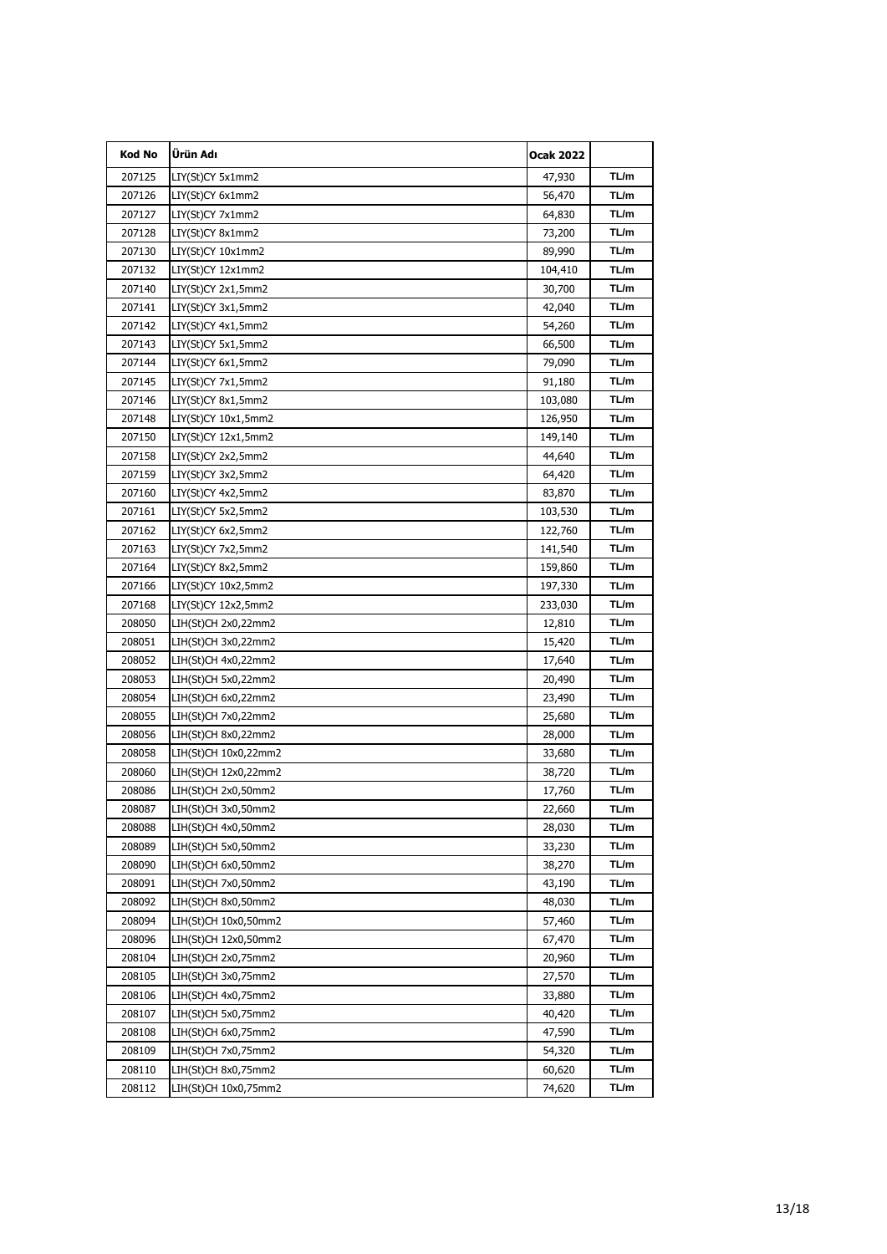| <b>Kod No</b> | Ürün Adı             | <b>Ocak 2022</b> |      |
|---------------|----------------------|------------------|------|
| 207125        | LIY(St)CY 5x1mm2     | 47,930           | TL/m |
| 207126        | LIY(St)CY 6x1mm2     | 56,470           | TL/m |
| 207127        | LIY(St)CY 7x1mm2     | 64,830           | TL/m |
| 207128        | LIY(St)CY 8x1mm2     | 73,200           | TL/m |
| 207130        | LIY(St)CY 10x1mm2    | 89,990           | TL/m |
| 207132        | LIY(St)CY 12x1mm2    | 104,410          | TL/m |
| 207140        | LIY(St)CY 2x1,5mm2   | 30,700           | TL/m |
| 207141        | LIY(St)CY 3x1,5mm2   | 42,040           | TL/m |
| 207142        | LIY(St)CY 4x1,5mm2   | 54,260           | TL/m |
| 207143        | LIY(St)CY 5x1,5mm2   | 66,500           | TL/m |
| 207144        | LIY(St)CY 6x1,5mm2   | 79,090           | TL/m |
| 207145        | LIY(St)CY 7x1,5mm2   | 91,180           | TL/m |
| 207146        | LIY(St)CY 8x1,5mm2   | 103,080          | TL/m |
| 207148        | LIY(St)CY 10x1,5mm2  | 126,950          | TL/m |
| 207150        | LIY(St)CY 12x1,5mm2  | 149,140          | TL/m |
| 207158        | LIY(St)CY 2x2,5mm2   | 44,640           | TL/m |
| 207159        | LIY(St)CY 3x2,5mm2   | 64,420           | TL/m |
| 207160        | LIY(St)CY 4x2,5mm2   | 83,870           | TL/m |
| 207161        | LIY(St)CY 5x2,5mm2   | 103,530          | TL/m |
| 207162        | LIY(St)CY 6x2,5mm2   | 122,760          | TL/m |
| 207163        | LIY(St)CY 7x2,5mm2   | 141,540          | TL/m |
| 207164        | LIY(St)CY 8x2,5mm2   | 159,860          | TL/m |
| 207166        | LIY(St)CY 10x2,5mm2  | 197,330          | TL/m |
| 207168        | LIY(St)CY 12x2,5mm2  | 233,030          | TL/m |
| 208050        | LIH(St)CH 2x0,22mm2  | 12,810           | TL/m |
| 208051        | LIH(St)CH 3x0,22mm2  | 15,420           | TL/m |
| 208052        | LIH(St)CH 4x0,22mm2  | 17,640           | TL/m |
| 208053        | LIH(St)CH 5x0,22mm2  | 20,490           | TL/m |
| 208054        | LIH(St)CH 6x0,22mm2  | 23,490           | TL/m |
| 208055        | LIH(St)CH 7x0,22mm2  | 25,680           | TL/m |
| 208056        | LIH(St)CH 8x0,22mm2  | 28,000           | TL/m |
| 208058        | LIH(St)CH 10x0,22mm2 | 33,680           | TL/m |
| 208060        | LIH(St)CH 12x0,22mm2 | 38,720           | TL/m |
| 208086        | LIH(St)CH 2x0,50mm2  | 17,760           | TL/m |
| 208087        | LIH(St)CH 3x0,50mm2  | 22,660           | IL/m |
| 208088        | LIH(St)CH 4x0,50mm2  | 28,030           | TL/m |
| 208089        | LIH(St)CH 5x0,50mm2  | 33,230           | TL/m |
| 208090        | LIH(St)CH 6x0,50mm2  | 38,270           | TL/m |
| 208091        | LIH(St)CH 7x0,50mm2  | 43,190           | TL/m |
| 208092        | LIH(St)CH 8x0,50mm2  | 48,030           | TL/m |
| 208094        | LIH(St)CH 10x0,50mm2 | 57,460           | TL/m |
| 208096        | LIH(St)CH 12x0,50mm2 | 67,470           | TL/m |
| 208104        | LIH(St)CH 2x0,75mm2  | 20,960           | TL/m |
| 208105        | LIH(St)CH 3x0,75mm2  | 27,570           | TL/m |
| 208106        | LIH(St)CH 4x0,75mm2  | 33,880           | TL/m |
| 208107        | LIH(St)CH 5x0,75mm2  | 40,420           | TL/m |
| 208108        | LIH(St)CH 6x0,75mm2  | 47,590           | TL/m |
| 208109        | LIH(St)CH 7x0,75mm2  | 54,320           | TL/m |
| 208110        | LIH(St)CH 8x0,75mm2  | 60,620           | TL/m |
| 208112        | LIH(St)CH 10x0,75mm2 | 74,620           | TL/m |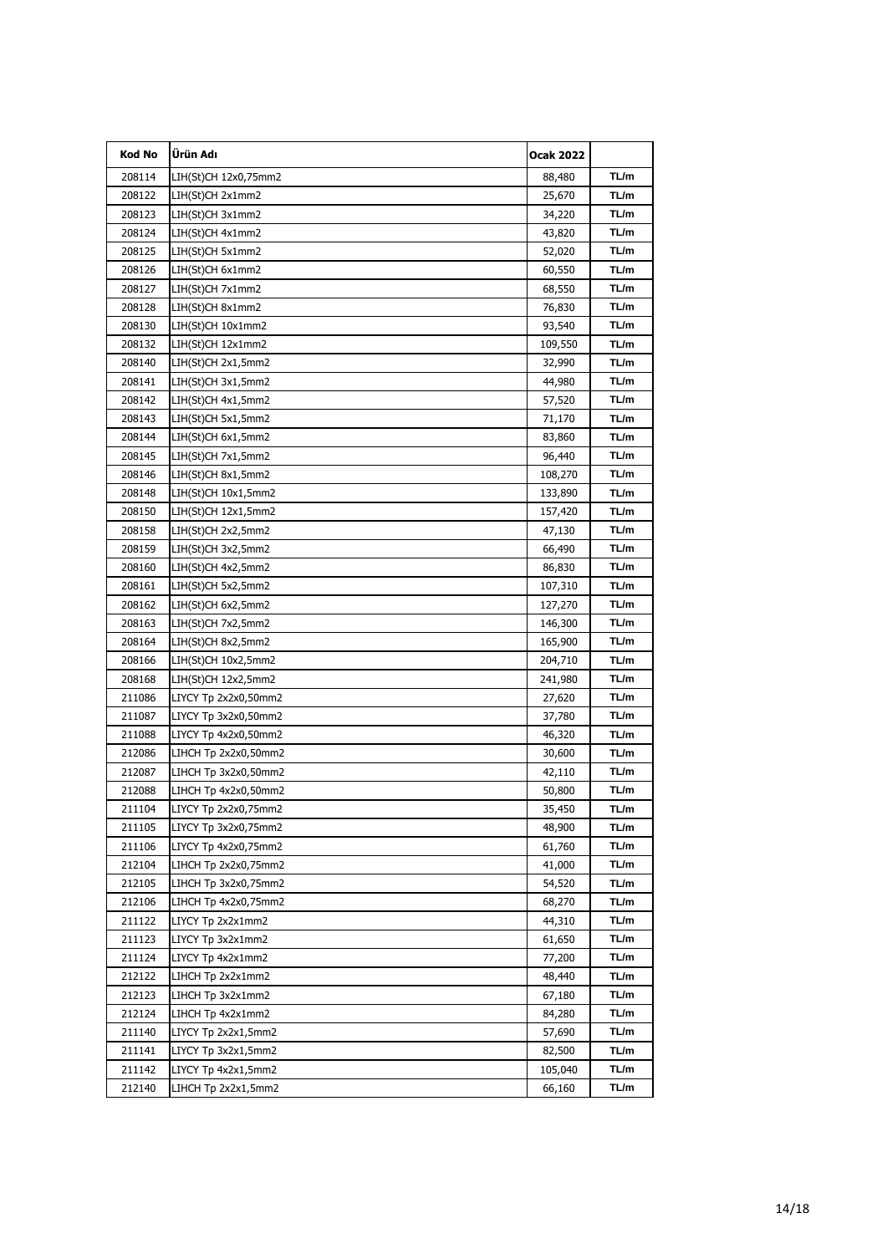| Kod No | Ürün Adı             | <b>Ocak 2022</b> |       |
|--------|----------------------|------------------|-------|
| 208114 | LIH(St)CH 12x0,75mm2 | 88,480           | TL/m  |
| 208122 | LIH(St)CH 2x1mm2     | 25,670           | TL/m  |
| 208123 | LIH(St)CH 3x1mm2     | 34,220           | TL/m  |
| 208124 | LIH(St)CH 4x1mm2     | 43,820           | TL/m  |
| 208125 | LIH(St)CH 5x1mm2     | 52,020           | TL/m  |
| 208126 | LIH(St)CH 6x1mm2     | 60,550           | TL/m  |
| 208127 | LIH(St)CH 7x1mm2     | 68,550           | TL/m  |
| 208128 | LIH(St)CH 8x1mm2     | 76,830           | TL/m  |
| 208130 | LIH(St)CH 10x1mm2    | 93,540           | TL/m  |
| 208132 | LIH(St)CH 12x1mm2    | 109,550          | TL/m  |
| 208140 | LIH(St)CH 2x1,5mm2   | 32,990           | TL/m  |
| 208141 | LIH(St)CH 3x1,5mm2   | 44,980           | TL/m  |
| 208142 | LIH(St)CH 4x1,5mm2   | 57,520           | TL/m  |
| 208143 | LIH(St)CH 5x1,5mm2   | 71,170           | TL/m  |
| 208144 | LIH(St)CH 6x1,5mm2   | 83,860           | TL/m  |
| 208145 | LIH(St)CH 7x1,5mm2   | 96,440           | TL/m  |
| 208146 | LIH(St)CH 8x1,5mm2   | 108,270          | TL/m  |
| 208148 | LIH(St)CH 10x1,5mm2  | 133,890          | TL/m  |
| 208150 | LIH(St)CH 12x1,5mm2  | 157,420          | TL/m  |
| 208158 | LIH(St)CH 2x2,5mm2   | 47,130           | TL/m  |
| 208159 | LIH(St)CH 3x2,5mm2   | 66,490           | TL/m  |
| 208160 | LIH(St)CH 4x2,5mm2   | 86,830           | TL/m  |
| 208161 | LIH(St)CH 5x2,5mm2   | 107,310          | TL/m  |
| 208162 | LIH(St)CH 6x2,5mm2   | 127,270          | TL/m  |
| 208163 | LIH(St)CH 7x2,5mm2   | 146,300          | TL/m  |
| 208164 | LIH(St)CH 8x2,5mm2   | 165,900          | TL/m  |
| 208166 | LIH(St)CH 10x2,5mm2  | 204,710          | TL/m  |
| 208168 | LIH(St)CH 12x2,5mm2  | 241,980          | TL/m  |
| 211086 | LIYCY Tp 2x2x0,50mm2 | 27,620           | TL/m  |
| 211087 | LIYCY Tp 3x2x0,50mm2 | 37,780           | TL/m  |
| 211088 | LIYCY Tp 4x2x0,50mm2 | 46,320           | TL/m  |
| 212086 | LIHCH Tp 2x2x0,50mm2 | 30,600           | TL/m  |
| 212087 | LIHCH Tp 3x2x0,50mm2 | 42,110           | TL/m  |
| 212088 | LIHCH Tp 4x2x0,50mm2 | 50,800           | TL/m  |
| 211104 | LIYCY Tp 2x2x0,75mm2 | 35,450           | I L/m |
| 211105 | LIYCY Tp 3x2x0,75mm2 | 48,900           | TL/m  |
| 211106 | LIYCY Tp 4x2x0,75mm2 | 61,760           | TL/m  |
| 212104 | LIHCH Tp 2x2x0,75mm2 | 41,000           | TL/m  |
| 212105 | LIHCH Tp 3x2x0,75mm2 | 54,520           | TL/m  |
| 212106 | LIHCH Tp 4x2x0,75mm2 | 68,270           | TL/m  |
| 211122 | LIYCY Tp 2x2x1mm2    | 44,310           | TL/m  |
| 211123 | LIYCY Tp 3x2x1mm2    | 61,650           | TL/m  |
| 211124 | LIYCY Tp 4x2x1mm2    | 77,200           | TL/m  |
| 212122 | LIHCH Tp 2x2x1mm2    | 48,440           | TL/m  |
| 212123 | LIHCH Tp 3x2x1mm2    | 67,180           | TL/m  |
| 212124 | LIHCH Tp 4x2x1mm2    | 84,280           | TL/m  |
| 211140 | LIYCY Tp 2x2x1,5mm2  | 57,690           | TL/m  |
| 211141 | LIYCY Tp 3x2x1,5mm2  | 82,500           | TL/m  |
| 211142 | LIYCY Tp 4x2x1,5mm2  | 105,040          | TL/m  |
| 212140 | LIHCH Tp 2x2x1,5mm2  | 66,160           | TL/m  |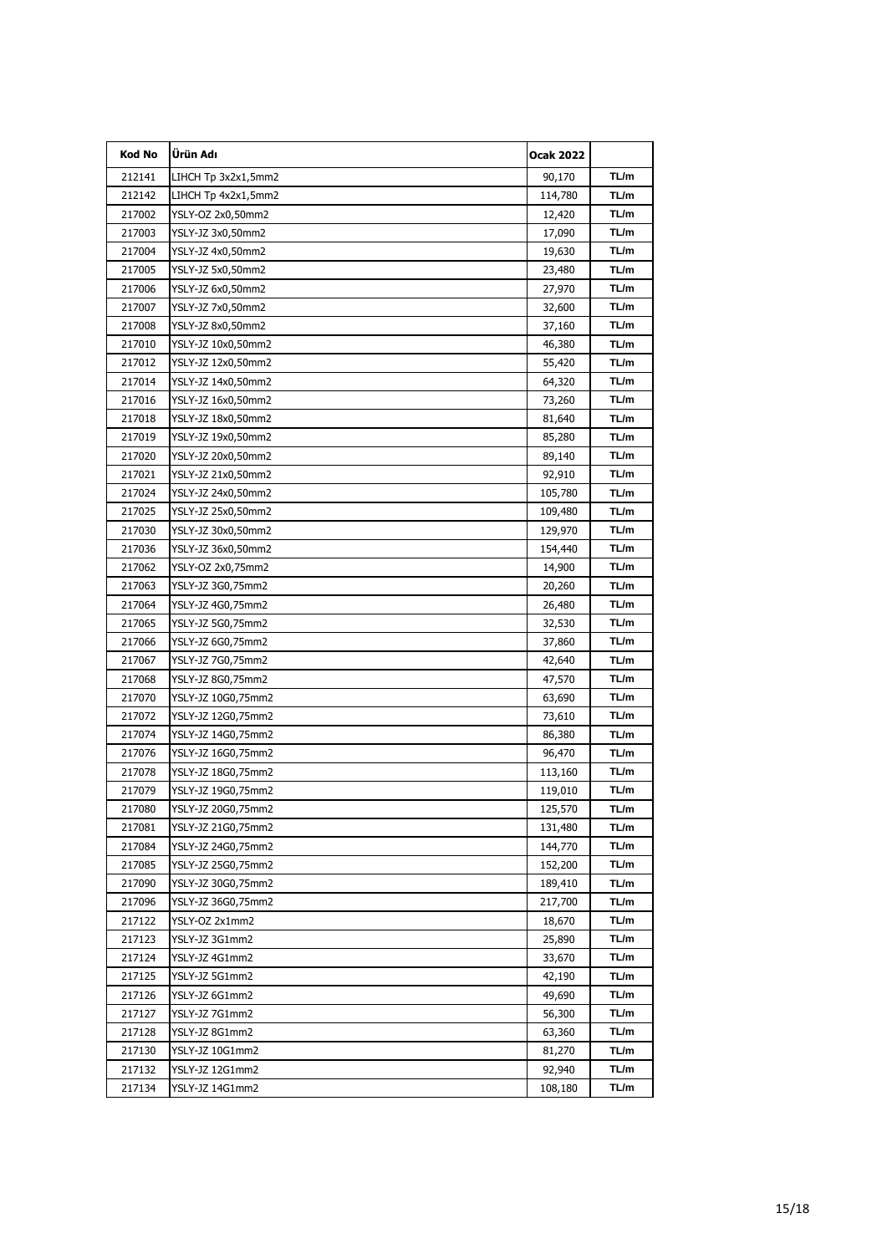| Kod No | Ürün Adı            | <b>Ocak 2022</b> |       |
|--------|---------------------|------------------|-------|
| 212141 | LIHCH Tp 3x2x1,5mm2 | 90,170           | TL/m  |
| 212142 | LIHCH Tp 4x2x1,5mm2 | 114,780          | TL/m  |
| 217002 | YSLY-OZ 2x0,50mm2   | 12,420           | TL/m  |
| 217003 | YSLY-JZ 3x0,50mm2   | 17,090           | TL/m  |
| 217004 | YSLY-JZ 4x0,50mm2   | 19,630           | TL/m  |
| 217005 | YSLY-JZ 5x0,50mm2   | 23,480           | TL/m  |
| 217006 | YSLY-JZ 6x0,50mm2   | 27,970           | TL/m  |
| 217007 | YSLY-JZ 7x0,50mm2   | 32,600           | TL/m  |
| 217008 | YSLY-JZ 8x0,50mm2   | 37,160           | TL/m  |
| 217010 | YSLY-JZ 10x0,50mm2  | 46,380           | TL/m  |
| 217012 | YSLY-JZ 12x0,50mm2  | 55,420           | TL/m  |
| 217014 | YSLY-JZ 14x0,50mm2  | 64,320           | TL/m  |
| 217016 | YSLY-JZ 16x0,50mm2  | 73,260           | TL/m  |
| 217018 | YSLY-JZ 18x0,50mm2  | 81,640           | TL/m  |
| 217019 | YSLY-JZ 19x0,50mm2  | 85,280           | TL/m  |
| 217020 | YSLY-JZ 20x0,50mm2  | 89,140           | TL/m  |
| 217021 | YSLY-JZ 21x0,50mm2  | 92,910           | TL/m  |
| 217024 | YSLY-JZ 24x0,50mm2  | 105,780          | TL/m  |
| 217025 | YSLY-JZ 25x0,50mm2  | 109,480          | TL/m  |
| 217030 | YSLY-JZ 30x0,50mm2  | 129,970          | TL/m  |
| 217036 | YSLY-JZ 36x0,50mm2  | 154,440          | TL/m  |
| 217062 | YSLY-OZ 2x0,75mm2   | 14,900           | TL/m  |
| 217063 | YSLY-JZ 3G0,75mm2   | 20,260           | TL/m  |
| 217064 | YSLY-JZ 4G0,75mm2   | 26,480           | TL/m  |
| 217065 | YSLY-JZ 5G0,75mm2   | 32,530           | TL/m  |
| 217066 | YSLY-JZ 6G0,75mm2   | 37,860           | TL/m  |
| 217067 | YSLY-JZ 7G0,75mm2   | 42,640           | TL/m  |
| 217068 | YSLY-JZ 8G0,75mm2   | 47,570           | TL/m  |
| 217070 | YSLY-JZ 10G0,75mm2  | 63,690           | TL/m  |
| 217072 | YSLY-JZ 12G0,75mm2  | 73,610           | TL/m  |
| 217074 | YSLY-JZ 14G0,75mm2  | 86,380           | TL/m  |
| 217076 | YSLY-JZ 16G0,75mm2  | 96,470           | TL/m  |
| 217078 | YSLY-JZ 18G0,75mm2  | 113,160          | TL/m  |
| 217079 | YSLY-JZ 19G0,75mm2  | 119,010          | TL/m  |
| 21/080 | YSLY-JZ 20G0,75mm2  | 125,570          | I L/m |
| 217081 | YSLY-JZ 21G0,75mm2  | 131,480          | TL/m  |
| 217084 | YSLY-JZ 24G0,75mm2  | 144,770          | TL/m  |
| 217085 | YSLY-JZ 25G0,75mm2  | 152,200          | TL/m  |
| 217090 | YSLY-JZ 30G0,75mm2  | 189,410          | TL/m  |
| 217096 | YSLY-JZ 36G0,75mm2  | 217,700          | TL/m  |
| 217122 | YSLY-OZ 2x1mm2      | 18,670           | TL/m  |
| 217123 | YSLY-JZ 3G1mm2      | 25,890           | TL/m  |
| 217124 | YSLY-JZ 4G1mm2      | 33,670           | TL/m  |
| 217125 | YSLY-JZ 5G1mm2      | 42,190           | TL/m  |
| 217126 | YSLY-JZ 6G1mm2      | 49,690           | TL/m  |
| 217127 | YSLY-JZ 7G1mm2      | 56,300           | TL/m  |
| 217128 | YSLY-JZ 8G1mm2      | 63,360           | TL/m  |
| 217130 | YSLY-JZ 10G1mm2     | 81,270           | TL/m  |
| 217132 | YSLY-JZ 12G1mm2     | 92,940           | TL/m  |
| 217134 | YSLY-JZ 14G1mm2     | 108,180          | TL/m  |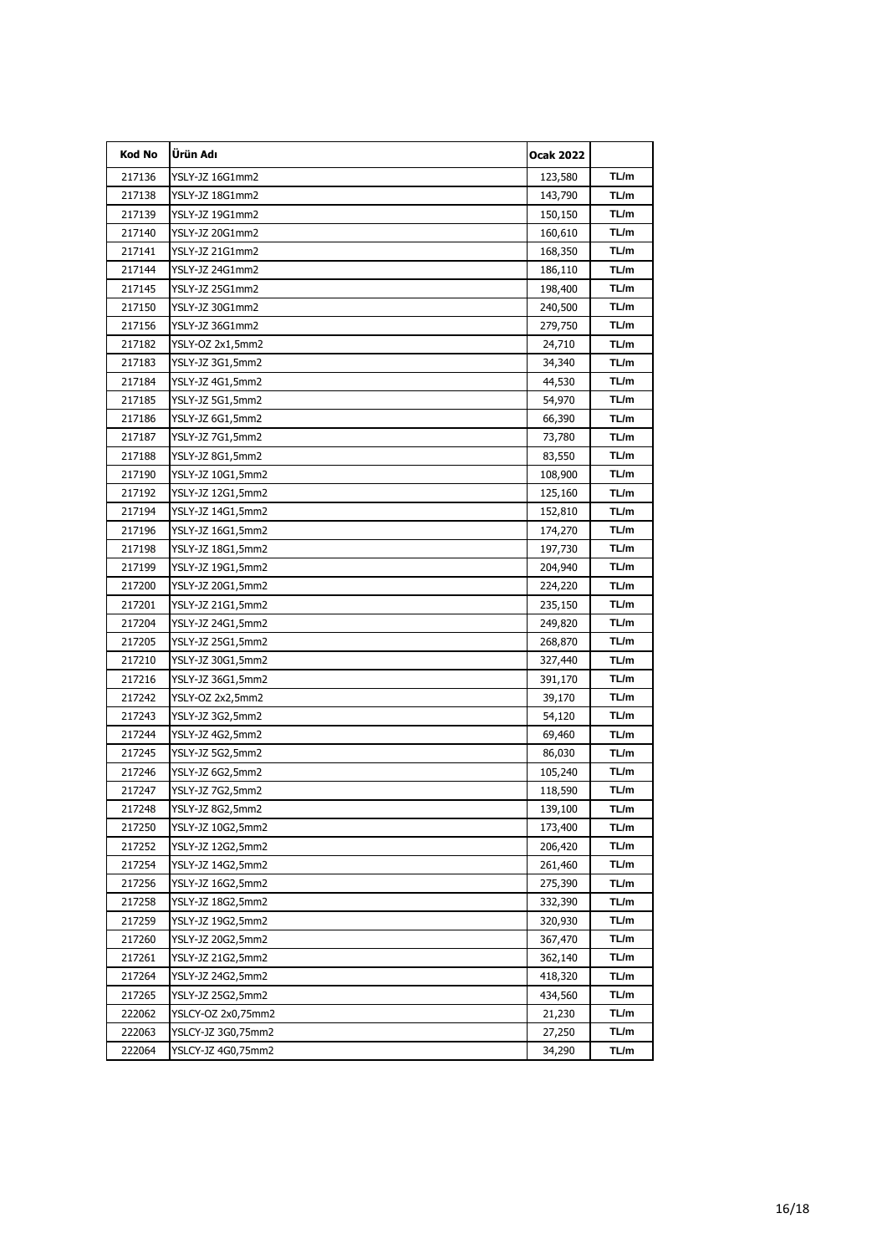| Kod No | Ürün Adı           | <b>Ocak 2022</b> |       |
|--------|--------------------|------------------|-------|
| 217136 | YSLY-JZ 16G1mm2    | 123,580          | TL/m  |
| 217138 | YSLY-JZ 18G1mm2    | 143,790          | TL/m  |
| 217139 | YSLY-JZ 19G1mm2    | 150,150          | TL/m  |
| 217140 | YSLY-JZ 20G1mm2    | 160,610          | TL/m  |
| 217141 | YSLY-JZ 21G1mm2    | 168,350          | TL/m  |
| 217144 | YSLY-JZ 24G1mm2    | 186,110          | TL/m  |
| 217145 | YSLY-JZ 25G1mm2    | 198,400          | TL/m  |
| 217150 | YSLY-JZ 30G1mm2    | 240,500          | TL/m  |
| 217156 | YSLY-JZ 36G1mm2    | 279,750          | TL/m  |
| 217182 | YSLY-OZ 2x1,5mm2   | 24,710           | TL/m  |
| 217183 | YSLY-JZ 3G1,5mm2   | 34,340           | TL/m  |
| 217184 | YSLY-JZ 4G1,5mm2   | 44,530           | TL/m  |
| 217185 | YSLY-JZ 5G1,5mm2   | 54,970           | TL/m  |
| 217186 | YSLY-JZ 6G1,5mm2   | 66,390           | TL/m  |
| 217187 | YSLY-JZ 7G1,5mm2   | 73,780           | TL/m  |
| 217188 | YSLY-JZ 8G1,5mm2   | 83,550           | TL/m  |
| 217190 | YSLY-JZ 10G1,5mm2  | 108,900          | TL/m  |
| 217192 | YSLY-JZ 12G1,5mm2  | 125,160          | TL/m  |
| 217194 | YSLY-JZ 14G1,5mm2  | 152,810          | TL/m  |
| 217196 | YSLY-JZ 16G1,5mm2  | 174,270          | TL/m  |
| 217198 | YSLY-JZ 18G1,5mm2  | 197,730          | TL/m  |
| 217199 | YSLY-JZ 19G1,5mm2  | 204,940          | TL/m  |
| 217200 | YSLY-JZ 20G1,5mm2  | 224,220          | TL/m  |
| 217201 | YSLY-JZ 21G1,5mm2  | 235,150          | TL/m  |
| 217204 | YSLY-JZ 24G1,5mm2  | 249,820          | TL/m  |
| 217205 | YSLY-JZ 25G1,5mm2  | 268,870          | TL/m  |
| 217210 | YSLY-JZ 30G1,5mm2  | 327,440          | TL/m  |
| 217216 | YSLY-JZ 36G1,5mm2  | 391,170          | TL/m  |
| 217242 | YSLY-OZ 2x2,5mm2   | 39,170           | TL/m  |
| 217243 | YSLY-JZ 3G2,5mm2   | 54,120           | TL/m  |
| 217244 | YSLY-JZ 4G2,5mm2   | 69,460           | TL/m  |
| 217245 | YSLY-JZ 5G2,5mm2   | 86,030           | TL/m  |
| 217246 | YSLY-JZ 6G2,5mm2   | 105,240          | TL/m  |
| 217247 | YSLY-JZ 7G2,5mm2   | 118,590          | TL/m  |
| 21/248 | YSLY-JZ 8G2,5mm2   | 139,100          | I L/m |
| 217250 | YSLY-JZ 10G2,5mm2  | 173,400          | TL/m  |
| 217252 | YSLY-JZ 12G2,5mm2  | 206,420          | TL/m  |
| 217254 | YSLY-JZ 14G2,5mm2  | 261,460          | TL/m  |
| 217256 | YSLY-JZ 16G2,5mm2  | 275,390          | TL/m  |
| 217258 | YSLY-JZ 18G2,5mm2  | 332,390          | TL/m  |
| 217259 | YSLY-JZ 19G2,5mm2  | 320,930          | TL/m  |
| 217260 | YSLY-JZ 20G2,5mm2  | 367,470          | TL/m  |
| 217261 | YSLY-JZ 21G2,5mm2  | 362,140          | TL/m  |
| 217264 | YSLY-JZ 24G2,5mm2  | 418,320          | TL/m  |
| 217265 | YSLY-JZ 25G2,5mm2  | 434,560          | TL/m  |
| 222062 | YSLCY-OZ 2x0,75mm2 | 21,230           | TL/m  |
| 222063 | YSLCY-JZ 3G0,75mm2 | 27,250           | TL/m  |
| 222064 | YSLCY-JZ 4G0,75mm2 | 34,290           | TL/m  |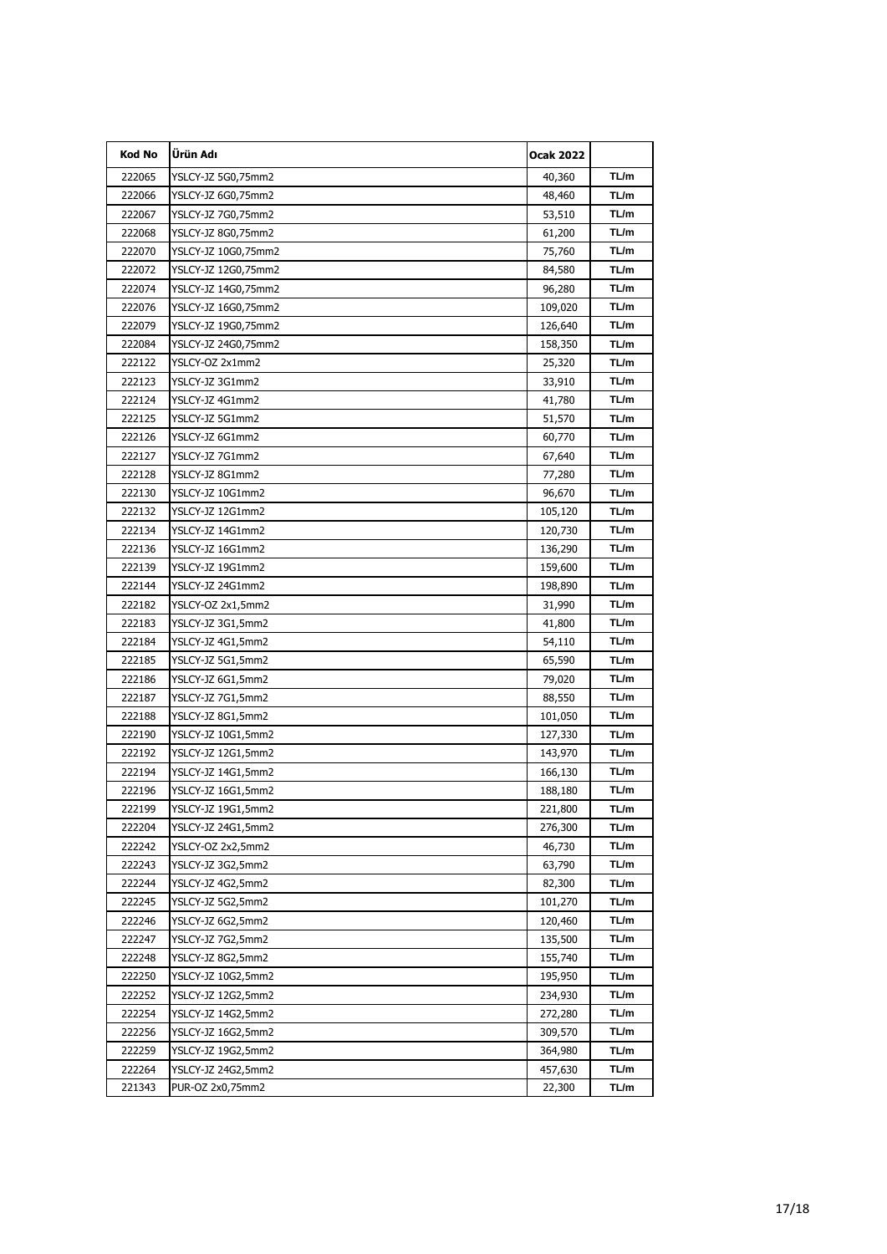| Kod No | Ürün Adı            | Ocak 2022 |      |
|--------|---------------------|-----------|------|
| 222065 | YSLCY-JZ 5G0,75mm2  | 40,360    | TL/m |
| 222066 | YSLCY-JZ 6G0,75mm2  | 48,460    | TL/m |
| 222067 | YSLCY-JZ 7G0,75mm2  | 53,510    | TL/m |
| 222068 | YSLCY-JZ 8G0,75mm2  | 61,200    | TL/m |
| 222070 | YSLCY-JZ 10G0,75mm2 | 75,760    | TL/m |
| 222072 | YSLCY-JZ 12G0,75mm2 | 84,580    | TL/m |
| 222074 | YSLCY-JZ 14G0,75mm2 | 96,280    | TL/m |
| 222076 | YSLCY-JZ 16G0,75mm2 | 109,020   | TL/m |
| 222079 | YSLCY-JZ 19G0,75mm2 | 126,640   | TL/m |
| 222084 | YSLCY-JZ 24G0,75mm2 | 158,350   | TL/m |
| 222122 | YSLCY-OZ 2x1mm2     | 25,320    | TL/m |
| 222123 | YSLCY-JZ 3G1mm2     | 33,910    | TL/m |
| 222124 | YSLCY-JZ 4G1mm2     | 41,780    | TL/m |
| 222125 | YSLCY-JZ 5G1mm2     | 51,570    | TL/m |
| 222126 | YSLCY-JZ 6G1mm2     | 60,770    | TL/m |
| 222127 | YSLCY-JZ 7G1mm2     | 67,640    | TL/m |
| 222128 | YSLCY-JZ 8G1mm2     | 77,280    | TL/m |
| 222130 | YSLCY-JZ 10G1mm2    | 96,670    | TL/m |
| 222132 | YSLCY-JZ 12G1mm2    | 105,120   | TL/m |
| 222134 | YSLCY-JZ 14G1mm2    | 120,730   | TL/m |
| 222136 | YSLCY-JZ 16G1mm2    | 136,290   | TL/m |
| 222139 | YSLCY-JZ 19G1mm2    | 159,600   | TL/m |
| 222144 | YSLCY-JZ 24G1mm2    | 198,890   | TL/m |
| 222182 | YSLCY-OZ 2x1,5mm2   | 31,990    | TL/m |
| 222183 | YSLCY-JZ 3G1,5mm2   | 41,800    | TL/m |
| 222184 | YSLCY-JZ 4G1,5mm2   | 54,110    | TL/m |
| 222185 | YSLCY-JZ 5G1,5mm2   | 65,590    | TL/m |
| 222186 | YSLCY-JZ 6G1,5mm2   | 79,020    | TL/m |
| 222187 | YSLCY-JZ 7G1,5mm2   | 88,550    | TL/m |
| 222188 | YSLCY-JZ 8G1,5mm2   | 101,050   | TL/m |
| 222190 | YSLCY-JZ 10G1,5mm2  | 127,330   | TL/m |
| 222192 | YSLCY-JZ 12G1,5mm2  | 143,970   | TL/m |
| 222194 | YSLCY-JZ 14G1,5mm2  | 166,130   | TL/m |
| 222196 | YSLCY-JZ 16G1,5mm2  | 188,180   | TL/m |
| 222199 | YSLCY-JZ 19G1,5mm2  | 221,800   | TL/m |
| 222204 | YSLCY-JZ 24G1,5mm2  | 276,300   | TL/m |
| 222242 | YSLCY-OZ 2x2,5mm2   | 46,730    | TL/m |
| 222243 | YSLCY-JZ 3G2,5mm2   | 63,790    | TL/m |
| 222244 | YSLCY-JZ 4G2,5mm2   | 82,300    | TL/m |
| 222245 | YSLCY-JZ 5G2,5mm2   | 101,270   | TL/m |
| 222246 | YSLCY-JZ 6G2,5mm2   | 120,460   | TL/m |
| 222247 | YSLCY-JZ 7G2,5mm2   | 135,500   | TL/m |
| 222248 | YSLCY-JZ 8G2,5mm2   | 155,740   | TL/m |
| 222250 | YSLCY-JZ 10G2,5mm2  | 195,950   | TL/m |
| 222252 | YSLCY-JZ 12G2,5mm2  | 234,930   | TL/m |
| 222254 | YSLCY-JZ 14G2,5mm2  | 272,280   | TL/m |
| 222256 | YSLCY-JZ 16G2,5mm2  | 309,570   | TL/m |
| 222259 | YSLCY-JZ 19G2,5mm2  | 364,980   | TL/m |
| 222264 | YSLCY-JZ 24G2,5mm2  | 457,630   | TL/m |
| 221343 | PUR-OZ 2x0,75mm2    | 22,300    | TL/m |